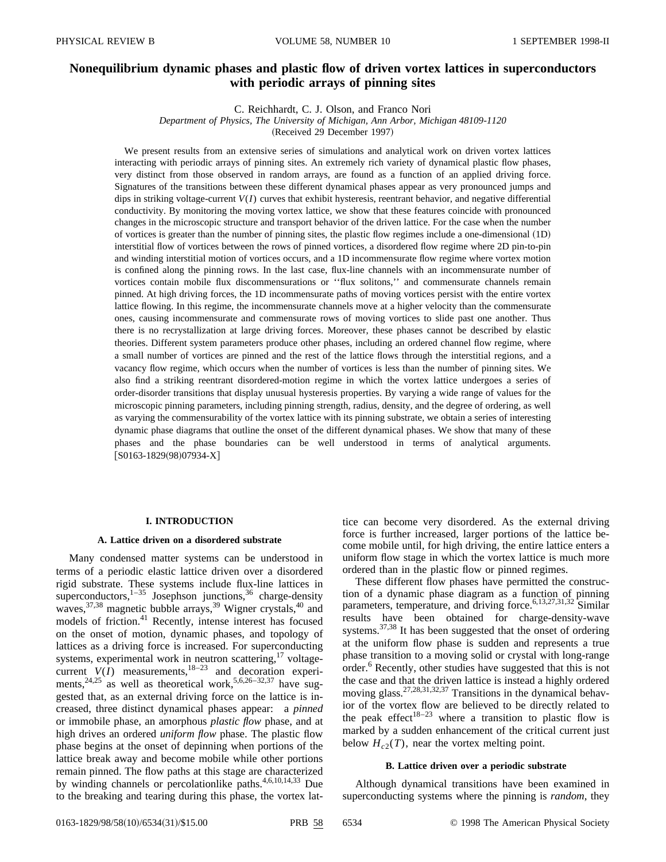# **Nonequilibrium dynamic phases and plastic flow of driven vortex lattices in superconductors with periodic arrays of pinning sites**

C. Reichhardt, C. J. Olson, and Franco Nori

*Department of Physics, The University of Michigan, Ann Arbor, Michigan 48109-1120*

(Received 29 December 1997)

We present results from an extensive series of simulations and analytical work on driven vortex lattices interacting with periodic arrays of pinning sites. An extremely rich variety of dynamical plastic flow phases, very distinct from those observed in random arrays, are found as a function of an applied driving force. Signatures of the transitions between these different dynamical phases appear as very pronounced jumps and dips in striking voltage-current *V*(*I*) curves that exhibit hysteresis, reentrant behavior, and negative differential conductivity. By monitoring the moving vortex lattice, we show that these features coincide with pronounced changes in the microscopic structure and transport behavior of the driven lattice. For the case when the number of vortices is greater than the number of pinning sites, the plastic flow regimes include a one-dimensional  $(1D)$ interstitial flow of vortices between the rows of pinned vortices, a disordered flow regime where 2D pin-to-pin and winding interstitial motion of vortices occurs, and a 1D incommensurate flow regime where vortex motion is confined along the pinning rows. In the last case, flux-line channels with an incommensurate number of vortices contain mobile flux discommensurations or ''flux solitons,'' and commensurate channels remain pinned. At high driving forces, the 1D incommensurate paths of moving vortices persist with the entire vortex lattice flowing. In this regime, the incommensurate channels move at a higher velocity than the commensurate ones, causing incommensurate and commensurate rows of moving vortices to slide past one another. Thus there is no recrystallization at large driving forces. Moreover, these phases cannot be described by elastic theories. Different system parameters produce other phases, including an ordered channel flow regime, where a small number of vortices are pinned and the rest of the lattice flows through the interstitial regions, and a vacancy flow regime, which occurs when the number of vortices is less than the number of pinning sites. We also find a striking reentrant disordered-motion regime in which the vortex lattice undergoes a series of order-disorder transitions that display unusual hysteresis properties. By varying a wide range of values for the microscopic pinning parameters, including pinning strength, radius, density, and the degree of ordering, as well as varying the commensurability of the vortex lattice with its pinning substrate, we obtain a series of interesting dynamic phase diagrams that outline the onset of the different dynamical phases. We show that many of these phases and the phase boundaries can be well understood in terms of analytical arguments.  $[$ S0163-1829(98)07934-X $]$ 

### **I. INTRODUCTION**

#### **A. Lattice driven on a disordered substrate**

Many condensed matter systems can be understood in terms of a periodic elastic lattice driven over a disordered rigid substrate. These systems include flux-line lattices in superconductors, $1-35$  Josephson junctions,  $36$  charge-density waves,<sup>37,38</sup> magnetic bubble arrays,<sup>39</sup> Wigner crystals,<sup>40</sup> and models of friction.<sup>41</sup> Recently, intense interest has focused on the onset of motion, dynamic phases, and topology of lattices as a driving force is increased. For superconducting systems, experimental work in neutron scattering,<sup>17</sup> voltagecurrent  $V(I)$  measurements,<sup>18–23</sup> and decoration experiments,<sup>24,25</sup> as well as theoretical work,<sup>5,6,26–32,37</sup> have suggested that, as an external driving force on the lattice is increased, three distinct dynamical phases appear: a *pinned* or immobile phase, an amorphous *plastic flow* phase, and at high drives an ordered *uniform flow* phase. The plastic flow phase begins at the onset of depinning when portions of the lattice break away and become mobile while other portions remain pinned. The flow paths at this stage are characterized by winding channels or percolationlike paths.<sup>4,6,10,14,33</sup> Due to the breaking and tearing during this phase, the vortex lattice can become very disordered. As the external driving force is further increased, larger portions of the lattice become mobile until, for high driving, the entire lattice enters a uniform flow stage in which the vortex lattice is much more ordered than in the plastic flow or pinned regimes.

These different flow phases have permitted the construction of a dynamic phase diagram as a function of pinning parameters, temperature, and driving force.<sup>6,13,27,31,32</sup> Similar results have been obtained for charge-density-wave systems.<sup>37,38</sup> It has been suggested that the onset of ordering at the uniform flow phase is sudden and represents a true phase transition to a moving solid or crystal with long-range order.<sup>6</sup> Recently, other studies have suggested that this is not the case and that the driven lattice is instead a highly ordered moving glass.<sup>27,28,31,32,37</sup> Transitions in the dynamical behavior of the vortex flow are believed to be directly related to the peak effect<sup>18–23</sup> where a transition to plastic flow is marked by a sudden enhancement of the critical current just below  $H_{c2}(T)$ , near the vortex melting point.

### **B. Lattice driven over a periodic substrate**

Although dynamical transitions have been examined in superconducting systems where the pinning is *random*, they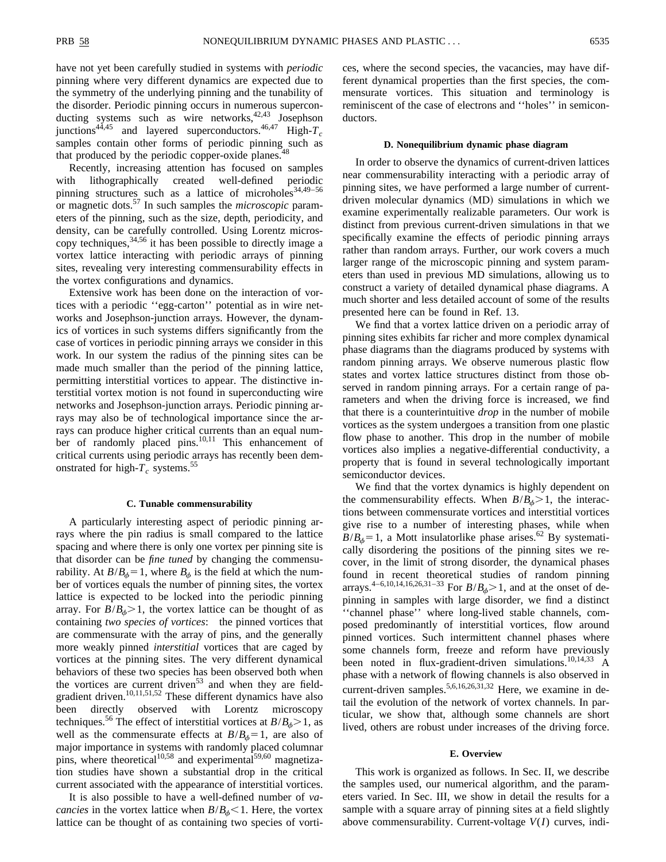have not yet been carefully studied in systems with *periodic* pinning where very different dynamics are expected due to the symmetry of the underlying pinning and the tunability of the disorder. Periodic pinning occurs in numerous superconducting systems such as wire networks,  $42,43$  Josephson junctions<sup>44,45</sup> and layered superconductors.<sup>46,47</sup> High- $T_c$ samples contain other forms of periodic pinning such as that produced by the periodic copper-oxide planes. $\frac{4}{3}$ 

Recently, increasing attention has focused on samples with lithographically created well-defined periodic pinning structures such as a lattice of microholes<sup>34,49-56</sup> or magnetic dots.<sup>57</sup> In such samples the *microscopic* parameters of the pinning, such as the size, depth, periodicity, and density, can be carefully controlled. Using Lorentz microscopy techniques,34,56 it has been possible to directly image a vortex lattice interacting with periodic arrays of pinning sites, revealing very interesting commensurability effects in the vortex configurations and dynamics.

Extensive work has been done on the interaction of vortices with a periodic ''egg-carton'' potential as in wire networks and Josephson-junction arrays. However, the dynamics of vortices in such systems differs significantly from the case of vortices in periodic pinning arrays we consider in this work. In our system the radius of the pinning sites can be made much smaller than the period of the pinning lattice, permitting interstitial vortices to appear. The distinctive interstitial vortex motion is not found in superconducting wire networks and Josephson-junction arrays. Periodic pinning arrays may also be of technological importance since the arrays can produce higher critical currents than an equal number of randomly placed pins.<sup>10,11</sup> This enhancement of critical currents using periodic arrays has recently been demonstrated for high- $T_c$  systems.<sup>55</sup>

### **C. Tunable commensurability**

A particularly interesting aspect of periodic pinning arrays where the pin radius is small compared to the lattice spacing and where there is only one vortex per pinning site is that disorder can be *fine tuned* by changing the commensurability. At  $B/B_{\phi}=1$ , where  $B_{\phi}$  is the field at which the number of vortices equals the number of pinning sites, the vortex lattice is expected to be locked into the periodic pinning array. For  $B/B_{\phi} > 1$ , the vortex lattice can be thought of as containing *two species of vortices*: the pinned vortices that are commensurate with the array of pins, and the generally more weakly pinned *interstitial* vortices that are caged by vortices at the pinning sites. The very different dynamical behaviors of these two species has been observed both when the vortices are current driven<sup>53</sup> and when they are fieldgradient driven.<sup>10,11,51,52</sup> These different dynamics have also been directly observed with Lorentz microscopy techniques.<sup>56</sup> The effect of interstitial vortices at  $B/B_{\phi} > 1$ , as well as the commensurate effects at  $B/B<sub>6</sub>=1$ , are also of major importance in systems with randomly placed columnar pins, where theoretical<sup>10,58</sup> and experimental<sup>59,60</sup> magnetization studies have shown a substantial drop in the critical current associated with the appearance of interstitial vortices.

It is also possible to have a well-defined number of *vacancies* in the vortex lattice when  $B/B<sub>b</sub> < 1$ . Here, the vortex lattice can be thought of as containing two species of vortices, where the second species, the vacancies, may have different dynamical properties than the first species, the commensurate vortices. This situation and terminology is reminiscent of the case of electrons and ''holes'' in semiconductors.

### **D. Nonequilibrium dynamic phase diagram**

In order to observe the dynamics of current-driven lattices near commensurability interacting with a periodic array of pinning sites, we have performed a large number of currentdriven molecular dynamics (MD) simulations in which we examine experimentally realizable parameters. Our work is distinct from previous current-driven simulations in that we specifically examine the effects of periodic pinning arrays rather than random arrays. Further, our work covers a much larger range of the microscopic pinning and system parameters than used in previous MD simulations, allowing us to construct a variety of detailed dynamical phase diagrams. A much shorter and less detailed account of some of the results presented here can be found in Ref. 13.

We find that a vortex lattice driven on a periodic array of pinning sites exhibits far richer and more complex dynamical phase diagrams than the diagrams produced by systems with random pinning arrays. We observe numerous plastic flow states and vortex lattice structures distinct from those observed in random pinning arrays. For a certain range of parameters and when the driving force is increased, we find that there is a counterintuitive *drop* in the number of mobile vortices as the system undergoes a transition from one plastic flow phase to another. This drop in the number of mobile vortices also implies a negative-differential conductivity, a property that is found in several technologically important semiconductor devices.

We find that the vortex dynamics is highly dependent on the commensurability effects. When  $B/B_{\phi} > 1$ , the interactions between commensurate vortices and interstitial vortices give rise to a number of interesting phases, while when  $B/B<sub>6</sub>=1$ , a Mott insulatorlike phase arises.<sup>62</sup> By systematically disordering the positions of the pinning sites we recover, in the limit of strong disorder, the dynamical phases found in recent theoretical studies of random pinning arrays.<sup>4–6,10,14,16,26,31–33</sup> For  $B/B_{\phi}$  > 1, and at the onset of depinning in samples with large disorder, we find a distinct ''channel phase'' where long-lived stable channels, composed predominantly of interstitial vortices, flow around pinned vortices. Such intermittent channel phases where some channels form, freeze and reform have previously been noted in flux-gradient-driven simulations.<sup>10,14,33</sup> A phase with a network of flowing channels is also observed in current-driven samples.<sup>5,6,16,26,31,32</sup> Here, we examine in detail the evolution of the network of vortex channels. In particular, we show that, although some channels are short lived, others are robust under increases of the driving force.

#### **E. Overview**

This work is organized as follows. In Sec. II, we describe the samples used, our numerical algorithm, and the parameters varied. In Sec. III, we show in detail the results for a sample with a square array of pinning sites at a field slightly above commensurability. Current-voltage *V*(*I*) curves, indi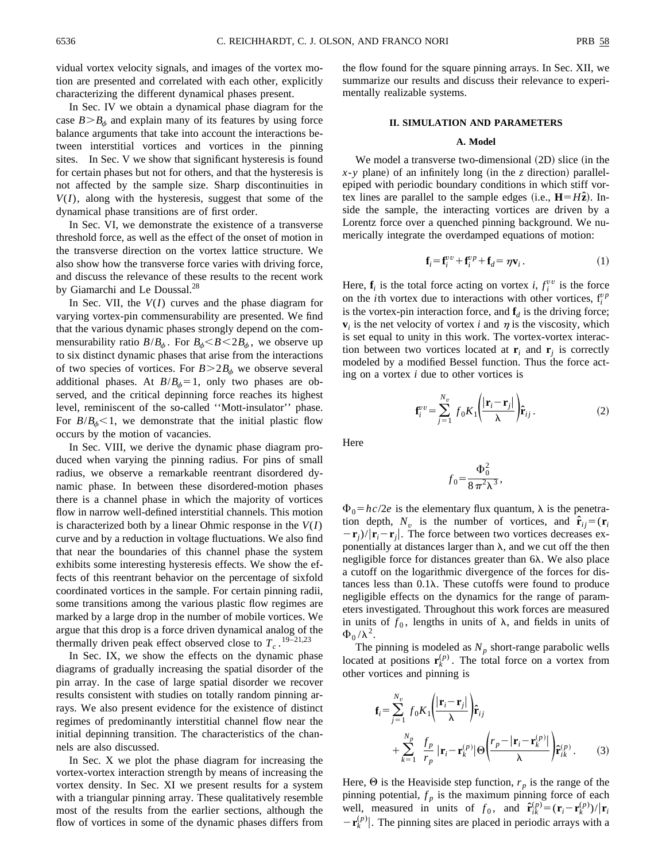vidual vortex velocity signals, and images of the vortex motion are presented and correlated with each other, explicitly characterizing the different dynamical phases present.

In Sec. IV we obtain a dynamical phase diagram for the case  $B > B_{\phi}$  and explain many of its features by using force balance arguments that take into account the interactions between interstitial vortices and vortices in the pinning sites. In Sec. V we show that significant hysteresis is found for certain phases but not for others, and that the hysteresis is not affected by the sample size. Sharp discontinuities in *V*(*I*), along with the hysteresis, suggest that some of the dynamical phase transitions are of first order.

In Sec. VI, we demonstrate the existence of a transverse threshold force, as well as the effect of the onset of motion in the transverse direction on the vortex lattice structure. We also show how the transverse force varies with driving force, and discuss the relevance of these results to the recent work by Giamarchi and Le Doussal.<sup>28</sup>

In Sec. VII, the *V*(*I*) curves and the phase diagram for varying vortex-pin commensurability are presented. We find that the various dynamic phases strongly depend on the commensurability ratio  $B/B_{\phi}$ . For  $B_{\phi} < B < 2B_{\phi}$ , we observe up to six distinct dynamic phases that arise from the interactions of two species of vortices. For  $B > 2B_{\phi}$  we observe several additional phases. At  $B/B_{\phi}=1$ , only two phases are observed, and the critical depinning force reaches its highest level, reminiscent of the so-called ''Mott-insulator'' phase. For  $B/B<sub>0</sub> < 1$ , we demonstrate that the initial plastic flow occurs by the motion of vacancies.

In Sec. VIII, we derive the dynamic phase diagram produced when varying the pinning radius. For pins of small radius, we observe a remarkable reentrant disordered dynamic phase. In between these disordered-motion phases there is a channel phase in which the majority of vortices flow in narrow well-defined interstitial channels. This motion is characterized both by a linear Ohmic response in the  $V(I)$ curve and by a reduction in voltage fluctuations. We also find that near the boundaries of this channel phase the system exhibits some interesting hysteresis effects. We show the effects of this reentrant behavior on the percentage of sixfold coordinated vortices in the sample. For certain pinning radii, some transitions among the various plastic flow regimes are marked by a large drop in the number of mobile vortices. We argue that this drop is a force driven dynamical analog of the thermally driven peak effect observed close to  $T_c$ .<sup>19–21,23</sup>

In Sec. IX, we show the effects on the dynamic phase diagrams of gradually increasing the spatial disorder of the pin array. In the case of large spatial disorder we recover results consistent with studies on totally random pinning arrays. We also present evidence for the existence of distinct regimes of predominantly interstitial channel flow near the initial depinning transition. The characteristics of the channels are also discussed.

In Sec. X we plot the phase diagram for increasing the vortex-vortex interaction strength by means of increasing the vortex density. In Sec. XI we present results for a system with a triangular pinning array. These qualitatively resemble most of the results from the earlier sections, although the flow of vortices in some of the dynamic phases differs from the flow found for the square pinning arrays. In Sec. XII, we summarize our results and discuss their relevance to experimentally realizable systems.

### **II. SIMULATION AND PARAMETERS**

### **A. Model**

We model a transverse two-dimensional  $(2D)$  slice (in the  $x$ -*y* plane) of an infinitely long (in the *z* direction) parallelepiped with periodic boundary conditions in which stiff vortex lines are parallel to the sample edges (i.e.,  $H=H\hat{z}$ ). Inside the sample, the interacting vortices are driven by a Lorentz force over a quenched pinning background. We numerically integrate the overdamped equations of motion:

$$
\mathbf{f}_i = \mathbf{f}_i^{vv} + \mathbf{f}_i^{vp} + \mathbf{f}_d = \eta \mathbf{v}_i.
$$
 (1)

Here,  $f_i$  is the total force acting on vortex *i*,  $f_i^{vv}$  is the force on the *i*th vortex due to interactions with other vortices,  $f_i^{vp}$ is the vortex-pin interaction force, and  $f<sub>d</sub>$  is the driving force;  $v_i$  is the net velocity of vortex *i* and  $\eta$  is the viscosity, which is set equal to unity in this work. The vortex-vortex interaction between two vortices located at  $\mathbf{r}_i$  and  $\mathbf{r}_j$  is correctly modeled by a modified Bessel function. Thus the force acting on a vortex *i* due to other vortices is

$$
\mathbf{f}_{i}^{vv} = \sum_{j=1}^{N_v} f_0 K_1 \left( \frac{|\mathbf{r}_i - \mathbf{r}_j|}{\lambda} \right) \mathbf{\hat{r}}_{ij} .
$$
 (2)

Here

$$
f_0 = \frac{\Phi_0^2}{8\pi^2\lambda^3},
$$

 $\Phi_0 = hc/2e$  is the elementary flux quantum,  $\lambda$  is the penetration depth,  $N_v$  is the number of vortices, and  $\hat{\mathbf{r}}_{ij} = (\mathbf{r}_i)^T$  $-\mathbf{r}_i$ / $|\mathbf{r}_i - \mathbf{r}_i|$ . The force between two vortices decreases exponentially at distances larger than  $\lambda$ , and we cut off the then negligible force for distances greater than  $6\lambda$ . We also place a cutoff on the logarithmic divergence of the forces for distances less than  $0.1\lambda$ . These cutoffs were found to produce negligible effects on the dynamics for the range of parameters investigated. Throughout this work forces are measured in units of  $f_0$ , lengths in units of  $\lambda$ , and fields in units of  $\Phi_0 / \lambda^2$ .

The pinning is modeled as  $N_p$  short-range parabolic wells located at positions  $\mathbf{r}_k^{(p)}$ . The total force on a vortex from other vortices and pinning is

$$
\mathbf{f}_{i} = \sum_{j=1}^{N_{v}} f_{0} K_{1} \left( \frac{|\mathbf{r}_{i} - \mathbf{r}_{j}|}{\lambda} \right) \hat{\mathbf{r}}_{ij} + \sum_{k=1}^{N_{p}} \frac{f_{p}}{r_{p}} |\mathbf{r}_{i} - \mathbf{r}_{k}^{(p)}| \Theta \left( \frac{r_{p} - |\mathbf{r}_{i} - \mathbf{r}_{k}^{(p)}|}{\lambda} \right) \hat{\mathbf{r}}_{ik}^{(p)}.
$$
 (3)

Here,  $\Theta$  is the Heaviside step function,  $r_p$  is the range of the pinning potential,  $f_p$  is the maximum pinning force of each well, measured in units of  $f_0$ , and  $\hat{\mathbf{r}}_i^{(p)} = (\mathbf{r}_i - \mathbf{r}_k^{(p)})/|\mathbf{r}_i|$  $-\mathbf{r}_k^{(p)}$ . The pinning sites are placed in periodic arrays with a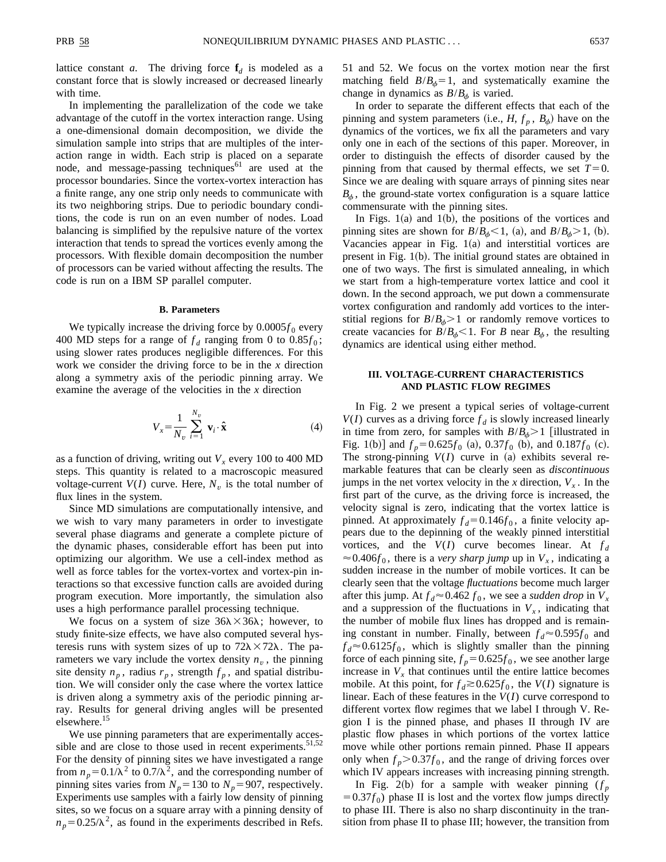lattice constant *a*. The driving force  $f<sub>d</sub>$  is modeled as a constant force that is slowly increased or decreased linearly with time.

In implementing the parallelization of the code we take advantage of the cutoff in the vortex interaction range. Using a one-dimensional domain decomposition, we divide the simulation sample into strips that are multiples of the interaction range in width. Each strip is placed on a separate node, and message-passing techniques<sup>61</sup> are used at the processor boundaries. Since the vortex-vortex interaction has a finite range, any one strip only needs to communicate with its two neighboring strips. Due to periodic boundary conditions, the code is run on an even number of nodes. Load balancing is simplified by the repulsive nature of the vortex interaction that tends to spread the vortices evenly among the processors. With flexible domain decomposition the number of processors can be varied without affecting the results. The code is run on a IBM SP parallel computer.

#### **B. Parameters**

We typically increase the driving force by  $0.0005f_0$  every 400 MD steps for a range of  $f_d$  ranging from 0 to 0.85 $f_0$ ; using slower rates produces negligible differences. For this work we consider the driving force to be in the *x* direction along a symmetry axis of the periodic pinning array. We examine the average of the velocities in the *x* direction

$$
V_x = \frac{1}{N_v} \sum_{i=1}^{N_v} \mathbf{v}_i \cdot \hat{\mathbf{x}} \tag{4}
$$

as a function of driving, writing out  $V<sub>x</sub>$  every 100 to 400 MD steps. This quantity is related to a macroscopic measured voltage-current  $V(I)$  curve. Here,  $N_v$  is the total number of flux lines in the system.

Since MD simulations are computationally intensive, and we wish to vary many parameters in order to investigate several phase diagrams and generate a complete picture of the dynamic phases, considerable effort has been put into optimizing our algorithm. We use a cell-index method as well as force tables for the vortex-vortex and vortex-pin interactions so that excessive function calls are avoided during program execution. More importantly, the simulation also uses a high performance parallel processing technique.

We focus on a system of size  $36\lambda \times 36\lambda$ ; however, to study finite-size effects, we have also computed several hysteresis runs with system sizes of up to  $72\lambda \times 72\lambda$ . The parameters we vary include the vortex density  $n<sub>v</sub>$ , the pinning site density  $n_p$ , radius  $r_p$ , strength  $f_p$ , and spatial distribution. We will consider only the case where the vortex lattice is driven along a symmetry axis of the periodic pinning array. Results for general driving angles will be presented elsewhere.<sup>15</sup>

We use pinning parameters that are experimentally accessible and are close to those used in recent experiments.  $51,52$ For the density of pinning sites we have investigated a range from  $n_p = 0.1/\lambda^2$  to  $0.7/\lambda^2$ , and the corresponding number of pinning sites varies from  $N_p = 130$  to  $N_p = 907$ , respectively. Experiments use samples with a fairly low density of pinning sites, so we focus on a square array with a pinning density of  $n_p=0.25/\lambda^2$ , as found in the experiments described in Refs. 51 and 52. We focus on the vortex motion near the first matching field  $B/B<sub>6</sub>=1$ , and systematically examine the change in dynamics as  $B/B_{\phi}$  is varied.

In order to separate the different effects that each of the pinning and system parameters (i.e.,  $H$ ,  $f<sub>p</sub>$ ,  $B<sub>φ</sub>$ ) have on the dynamics of the vortices, we fix all the parameters and vary only one in each of the sections of this paper. Moreover, in order to distinguish the effects of disorder caused by the pinning from that caused by thermal effects, we set  $T=0$ . Since we are dealing with square arrays of pinning sites near  $B_{\phi}$ , the ground-state vortex configuration is a square lattice commensurate with the pinning sites.

In Figs.  $1(a)$  and  $1(b)$ , the positions of the vortices and pinning sites are shown for  $B/B_{\phi} < 1$ , (a), and  $B/B_{\phi} > 1$ , (b). Vacancies appear in Fig.  $1(a)$  and interstitial vortices are present in Fig. 1(b). The initial ground states are obtained in one of two ways. The first is simulated annealing, in which we start from a high-temperature vortex lattice and cool it down. In the second approach, we put down a commensurate vortex configuration and randomly add vortices to the interstitial regions for  $B/B_{\phi} > 1$  or randomly remove vortices to create vacancies for  $B/B<sub>0</sub> < 1$ . For *B* near  $B<sub>0</sub>$ , the resulting dynamics are identical using either method.

## **III. VOLTAGE-CURRENT CHARACTERISTICS AND PLASTIC FLOW REGIMES**

In Fig. 2 we present a typical series of voltage-current  $V(I)$  curves as a driving force  $f_d$  is slowly increased linearly in time from zero, for samples with  $B/B_{\phi} > 1$  [illustrated in Fig. 1(b)] and  $f_p = 0.625 f_0$  (a), 0.37 $f_0$  (b), and 0.187 $f_0$  (c). The strong-pinning  $V(I)$  curve in (a) exhibits several remarkable features that can be clearly seen as *discontinuous* jumps in the net vortex velocity in the *x* direction,  $V_x$ . In the first part of the curve, as the driving force is increased, the velocity signal is zero, indicating that the vortex lattice is pinned. At approximately  $f_d = 0.146 f_0$ , a finite velocity appears due to the depinning of the weakly pinned interstitial vortices, and the  $V(I)$  curve becomes linear. At  $f_d$  $\approx 0.406f_0$ , there is a *very sharp jump* up in  $V_x$ , indicating a sudden increase in the number of mobile vortices. It can be clearly seen that the voltage *fluctuations* become much larger after this jump. At  $f_d \approx 0.462 f_0$ , we see a *sudden drop* in  $V_x$ and a suppression of the fluctuations in  $V_x$ , indicating that the number of mobile flux lines has dropped and is remaining constant in number. Finally, between  $f_d \approx 0.595 f_0$  and  $f_d \approx 0.6125 f_0$ , which is slightly smaller than the pinning force of each pinning site,  $f_p = 0.625f_0$ , we see another large increase in  $V<sub>x</sub>$  that continues until the entire lattice becomes mobile. At this point, for  $f_d \gtrsim 0.625f_0$ , the *V*(*I*) signature is linear. Each of these features in the *V*(*I*) curve correspond to different vortex flow regimes that we label I through V. Region I is the pinned phase, and phases II through IV are plastic flow phases in which portions of the vortex lattice move while other portions remain pinned. Phase II appears only when  $f_p > 0.37 f_0$ , and the range of driving forces over which IV appears increases with increasing pinning strength.

In Fig. 2(b) for a sample with weaker pinning  $(f_p)$  $=0.37f<sub>0</sub>$ ) phase II is lost and the vortex flow jumps directly to phase III. There is also no sharp discontinuity in the transition from phase II to phase III; however, the transition from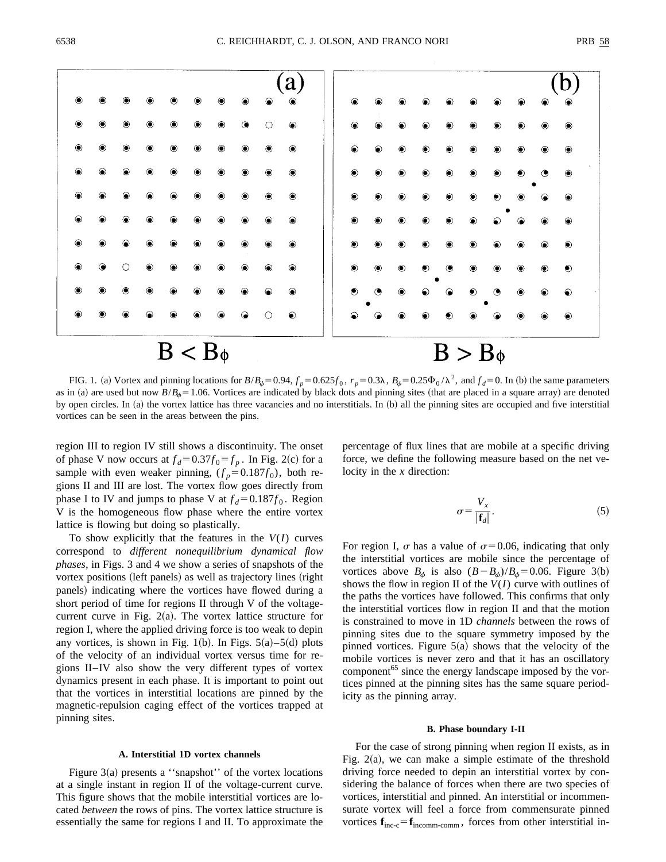

FIG. 1. (a) Vortex and pinning locations for  $B/B_0 = 0.94$ ,  $f_p = 0.625f_0$ ,  $r_p = 0.3\lambda$ ,  $B_0 = 0.25\Phi_0/\lambda^2$ , and  $f_d = 0$ . In (b) the same parameters as in (a) are used but now  $B/B<sub>6</sub>=1.06$ . Vortices are indicated by black dots and pinning sites (that are placed in a square array) are denoted by open circles. In  $(a)$  the vortex lattice has three vacancies and no interstitials. In  $(b)$  all the pinning sites are occupied and five interstitial vortices can be seen in the areas between the pins.

region III to region IV still shows a discontinuity. The onset of phase V now occurs at  $f_d = 0.37f_0 = f_p$ . In Fig. 2(c) for a sample with even weaker pinning,  $(f_p=0.187f_0)$ , both regions II and III are lost. The vortex flow goes directly from phase I to IV and jumps to phase V at  $f_d = 0.187 f_0$ . Region V is the homogeneous flow phase where the entire vortex lattice is flowing but doing so plastically.

To show explicitly that the features in the *V*(*I*) curves correspond to *different nonequilibrium dynamical flow phases*, in Figs. 3 and 4 we show a series of snapshots of the vortex positions (left panels) as well as trajectory lines (right panels) indicating where the vortices have flowed during a short period of time for regions II through V of the voltagecurrent curve in Fig.  $2(a)$ . The vortex lattice structure for region I, where the applied driving force is too weak to depin any vortices, is shown in Fig. 1(b). In Figs.  $5(a) - 5(d)$  plots of the velocity of an individual vortex versus time for regions II–IV also show the very different types of vortex dynamics present in each phase. It is important to point out that the vortices in interstitial locations are pinned by the magnetic-repulsion caging effect of the vortices trapped at pinning sites.

#### **A. Interstitial 1D vortex channels**

Figure  $3(a)$  presents a "snapshot" of the vortex locations at a single instant in region II of the voltage-current curve. This figure shows that the mobile interstitial vortices are located *between* the rows of pins. The vortex lattice structure is essentially the same for regions I and II. To approximate the percentage of flux lines that are mobile at a specific driving force, we define the following measure based on the net velocity in the *x* direction:

$$
\sigma = \frac{V_x}{|\mathbf{f}_d|}.\tag{5}
$$

For region I,  $\sigma$  has a value of  $\sigma$ =0.06, indicating that only the interstitial vortices are mobile since the percentage of vortices above  $B_{\phi}$  is also  $(B - B_{\phi})/B_{\phi} = 0.06$ . Figure 3(b) shows the flow in region II of the *V*(*I*) curve with outlines of the paths the vortices have followed. This confirms that only the interstitial vortices flow in region II and that the motion is constrained to move in 1D *channels* between the rows of pinning sites due to the square symmetry imposed by the pinned vortices. Figure  $5(a)$  shows that the velocity of the mobile vortices is never zero and that it has an oscillatory component<sup>65</sup> since the energy landscape imposed by the vortices pinned at the pinning sites has the same square periodicity as the pinning array.

#### **B. Phase boundary I-II**

For the case of strong pinning when region II exists, as in Fig.  $2(a)$ , we can make a simple estimate of the threshold driving force needed to depin an interstitial vortex by considering the balance of forces when there are two species of vortices, interstitial and pinned. An interstitial or incommensurate vortex will feel a force from commensurate pinned vortices  $\mathbf{f}_{\text{inc-c}} = \mathbf{f}_{\text{incomm-comm}}$ , forces from other interstitial in-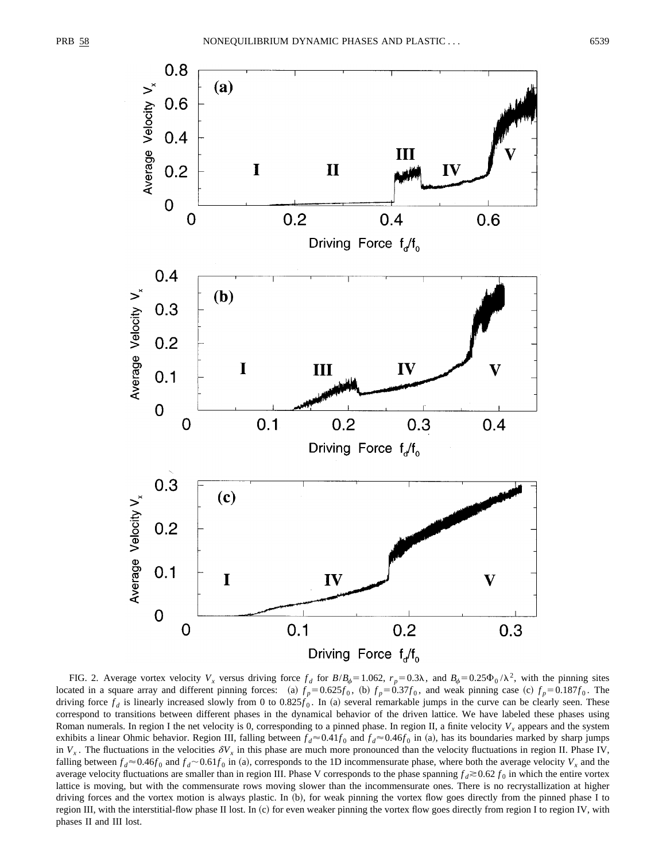

FIG. 2. Average vortex velocity  $V_x$  versus driving force  $f_d$  for  $B/B_0=1.062$ ,  $r_p=0.3\lambda$ , and  $B_0=0.25\Phi_0/\lambda^2$ , with the pinning sites located in a square array and different pinning forces: (a)  $f_p = 0.625f_0$ , (b)  $f_p = 0.37f_0$ , and weak pinning case (c)  $f_p = 0.187f_0$ . The driving force  $f_d$  is linearly increased slowly from 0 to  $0.825f_0$ . In (a) several remarkable jumps in the curve can be clearly seen. These correspond to transitions between different phases in the dynamical behavior of the driven lattice. We have labeled these phases using Roman numerals. In region I the net velocity is 0, corresponding to a pinned phase. In region II, a finite velocity  $V<sub>x</sub>$  appears and the system exhibits a linear Ohmic behavior. Region III, falling between  $f_d \approx 0.41 f_0$  and  $f_d \approx 0.46 f_0$  in (a), has its boundaries marked by sharp jumps in  $V_x$ . The fluctuations in the velocities  $\delta V_x$  in this phase are much more pronounced than the velocity fluctuations in region II. Phase IV, falling between  $f_d \approx 0.46 f_0$  and  $f_d \sim 0.61 f_0$  in (a), corresponds to the 1D incommensurate phase, where both the average velocity  $V_x$  and the average velocity fluctuations are smaller than in region III. Phase V corresponds to the phase spanning  $f_d \ge 0.62 f_0$  in which the entire vortex lattice is moving, but with the commensurate rows moving slower than the incommensurate ones. There is no recrystallization at higher driving forces and the vortex motion is always plastic. In (b), for weak pinning the vortex flow goes directly from the pinned phase I to region III, with the interstitial-flow phase II lost. In (c) for even weaker pinning the vortex flow goes directly from region I to region IV, with phases II and III lost.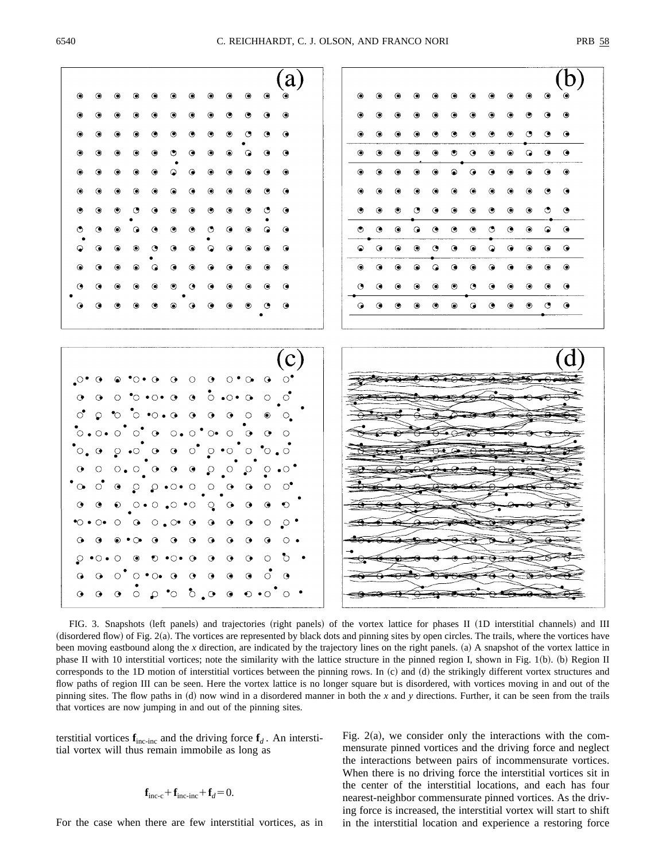

FIG. 3. Snapshots (left panels) and trajectories (right panels) of the vortex lattice for phases II (1D interstitial channels) and III (disordered flow) of Fig. 2(a). The vortices are represented by black dots and pinning sites by open circles. The trails, where the vortices have been moving eastbound along the *x* direction, are indicated by the trajectory lines on the right panels. (a) A snapshot of the vortex lattice in phase II with 10 interstitial vortices; note the similarity with the lattice structure in the pinned region I, shown in Fig. 1(b). (b) Region II corresponds to the 1D motion of interstitial vortices between the pinning rows. In  $(c)$  and  $(d)$  the strikingly different vortex structures and flow paths of region III can be seen. Here the vortex lattice is no longer square but is disordered, with vortices moving in and out of the pinning sites. The flow paths in (d) now wind in a disordered manner in both the *x* and *y* directions. Further, it can be seen from the trails that vortices are now jumping in and out of the pinning sites.

terstitial vortices  $f_{inc-inc}$  and the driving force  $f_d$ . An interstitial vortex will thus remain immobile as long as

$$
\mathbf{f}_{\text{inc-c}} + \mathbf{f}_{\text{inc-inc}} + \mathbf{f}_d = 0.
$$

For the case when there are few interstitial vortices, as in

Fig.  $2(a)$ , we consider only the interactions with the commensurate pinned vortices and the driving force and neglect the interactions between pairs of incommensurate vortices. When there is no driving force the interstitial vortices sit in the center of the interstitial locations, and each has four nearest-neighbor commensurate pinned vortices. As the driving force is increased, the interstitial vortex will start to shift in the interstitial location and experience a restoring force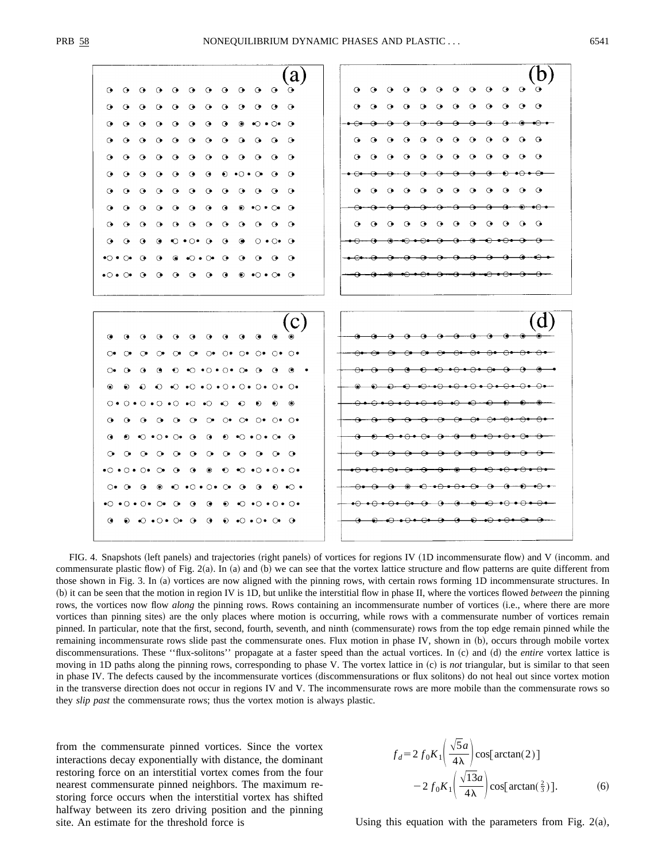

FIG. 4. Snapshots (left panels) and trajectories (right panels) of vortices for regions IV (1D incommensurate flow) and V (incomm. and commensurate plastic flow) of Fig.  $2(a)$ . In  $(a)$  and  $(b)$  we can see that the vortex lattice structure and flow patterns are quite different from those shown in Fig. 3. In (a) vortices are now aligned with the pinning rows, with certain rows forming 1D incommensurate structures. In ~b! it can be seen that the motion in region IV is 1D, but unlike the interstitial flow in phase II, where the vortices flowed *between* the pinning rows, the vortices now flow *along* the pinning rows. Rows containing an incommensurate number of vortices (i.e., where there are more vortices than pinning sites) are the only places where motion is occurring, while rows with a commensurate number of vortices remain pinned. In particular, note that the first, second, fourth, seventh, and ninth (commensurate) rows from the top edge remain pinned while the remaining incommensurate rows slide past the commensurate ones. Flux motion in phase IV, shown in (b), occurs through mobile vortex discommensurations. These "flux-solitons" propagate at a faster speed than the actual vortices. In (c) and (d) the *entire* vortex lattice is moving in 1D paths along the pinning rows, corresponding to phase V. The vortex lattice in (c) is *not* triangular, but is similar to that seen in phase IV. The defects caused by the incommensurate vortices (discommensurations or flux solitons) do not heal out since vortex motion in the transverse direction does not occur in regions IV and V. The incommensurate rows are more mobile than the commensurate rows so they *slip past* the commensurate rows; thus the vortex motion is always plastic.

from the commensurate pinned vortices. Since the vortex interactions decay exponentially with distance, the dominant restoring force on an interstitial vortex comes from the four nearest commensurate pinned neighbors. The maximum restoring force occurs when the interstitial vortex has shifted halfway between its zero driving position and the pinning site. An estimate for the threshold force is

$$
f_d = 2 f_0 K_1 \left(\frac{\sqrt{5}a}{4\lambda}\right) \cos\left[\arctan(2)\right]
$$

$$
-2 f_0 K_1 \left(\frac{\sqrt{13}a}{4\lambda}\right) \cos\left[\arctan(\frac{2}{3})\right].
$$
 (6)

Using this equation with the parameters from Fig.  $2(a)$ ,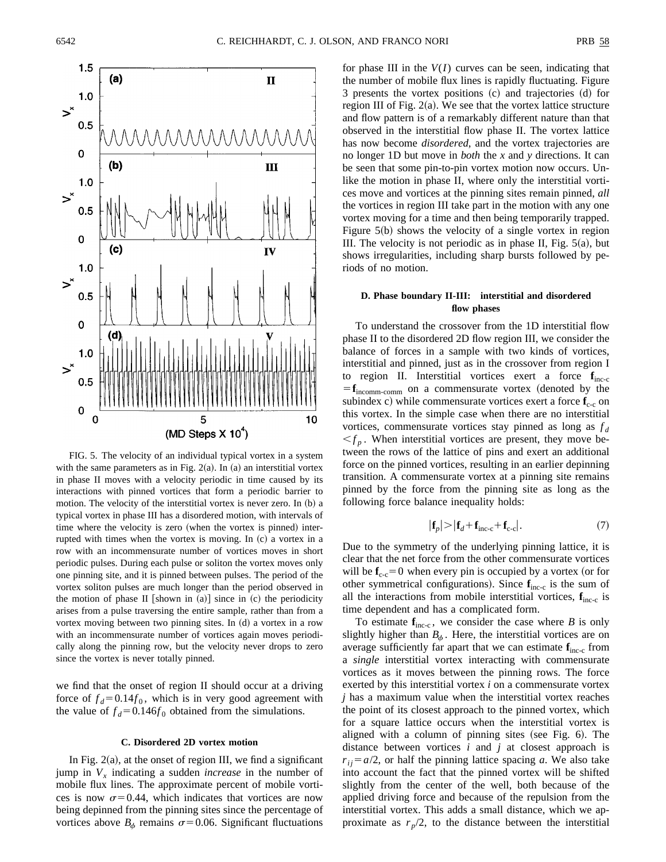

FIG. 5. The velocity of an individual typical vortex in a system with the same parameters as in Fig. 2(a). In (a) an interstitial vortex in phase II moves with a velocity periodic in time caused by its interactions with pinned vortices that form a periodic barrier to motion. The velocity of the interstitial vortex is never zero. In  $(b)$  a typical vortex in phase III has a disordered motion, with intervals of time where the velocity is zero (when the vortex is pinned) interrupted with times when the vortex is moving. In  $(c)$  a vortex in a row with an incommensurate number of vortices moves in short periodic pulses. During each pulse or soliton the vortex moves only one pinning site, and it is pinned between pulses. The period of the vortex soliton pulses are much longer than the period observed in the motion of phase II  $[$ shown in  $(a)$  $]$  since in  $(c)$  the periodicity arises from a pulse traversing the entire sample, rather than from a vortex moving between two pinning sites. In (d) a vortex in a row with an incommensurate number of vortices again moves periodically along the pinning row, but the velocity never drops to zero since the vortex is never totally pinned.

we find that the onset of region II should occur at a driving force of  $f_d = 0.14 f_0$ , which is in very good agreement with the value of  $f_d = 0.146 f_0$  obtained from the simulations.

## **C. Disordered 2D vortex motion**

In Fig.  $2(a)$ , at the onset of region III, we find a significant jump in  $V_x$  indicating a sudden *increase* in the number of mobile flux lines. The approximate percent of mobile vortices is now  $\sigma$ =0.44, which indicates that vortices are now being depinned from the pinning sites since the percentage of vortices above  $B_{\phi}$  remains  $\sigma$ =0.06. Significant fluctuations for phase III in the  $V(I)$  curves can be seen, indicating that the number of mobile flux lines is rapidly fluctuating. Figure  $3$  presents the vortex positions  $(c)$  and trajectories  $(d)$  for region III of Fig.  $2(a)$ . We see that the vortex lattice structure and flow pattern is of a remarkably different nature than that observed in the interstitial flow phase II. The vortex lattice has now become *disordered*, and the vortex trajectories are no longer 1D but move in *both* the *x* and *y* directions. It can be seen that some pin-to-pin vortex motion now occurs. Unlike the motion in phase II, where only the interstitial vortices move and vortices at the pinning sites remain pinned, *all* the vortices in region III take part in the motion with any one vortex moving for a time and then being temporarily trapped. Figure  $5(b)$  shows the velocity of a single vortex in region III. The velocity is not periodic as in phase II, Fig.  $5(a)$ , but shows irregularities, including sharp bursts followed by periods of no motion.

## **D. Phase boundary II-III: interstitial and disordered flow phases**

To understand the crossover from the 1D interstitial flow phase II to the disordered 2D flow region III, we consider the balance of forces in a sample with two kinds of vortices, interstitial and pinned, just as in the crossover from region I to region II. Interstitial vortices exert a force  $f_{inc-c}$  $=f_{\text{incomm-comm}}$  on a commensurate vortex (denoted by the subindex c) while commensurate vortices exert a force  $f_{c-c}$  on this vortex. In the simple case when there are no interstitial vortices, commensurate vortices stay pinned as long as  $f_d$  $\leq f_p$ . When interstitial vortices are present, they move between the rows of the lattice of pins and exert an additional force on the pinned vortices, resulting in an earlier depinning transition. A commensurate vortex at a pinning site remains pinned by the force from the pinning site as long as the following force balance inequality holds:

$$
|\mathbf{f}_p| > |\mathbf{f}_d + \mathbf{f}_{\text{inc-c}} + \mathbf{f}_{\text{c-c}}|.
$$
 (7)

Due to the symmetry of the underlying pinning lattice, it is clear that the net force from the other commensurate vortices will be  $f_{c-c}=0$  when every pin is occupied by a vortex (or for other symmetrical configurations). Since  $f_{inc-c}$  is the sum of all the interactions from mobile interstitial vortices,  $f_{inc-c}$  is time dependent and has a complicated form.

To estimate  $f_{inc-c}$ , we consider the case where *B* is only slightly higher than  $B_{\phi}$ . Here, the interstitial vortices are on average sufficiently far apart that we can estimate  $f_{inc-c}$  from a *single* interstitial vortex interacting with commensurate vortices as it moves between the pinning rows. The force exerted by this interstitial vortex *i* on a commensurate vortex *j* has a maximum value when the interstitial vortex reaches the point of its closest approach to the pinned vortex, which for a square lattice occurs when the interstitial vortex is aligned with a column of pinning sites (see Fig.  $6$ ). The distance between vortices *i* and *j* at closest approach is  $r_{ii} = a/2$ , or half the pinning lattice spacing *a*. We also take into account the fact that the pinned vortex will be shifted slightly from the center of the well, both because of the applied driving force and because of the repulsion from the interstitial vortex. This adds a small distance, which we approximate as  $r_p/2$ , to the distance between the interstitial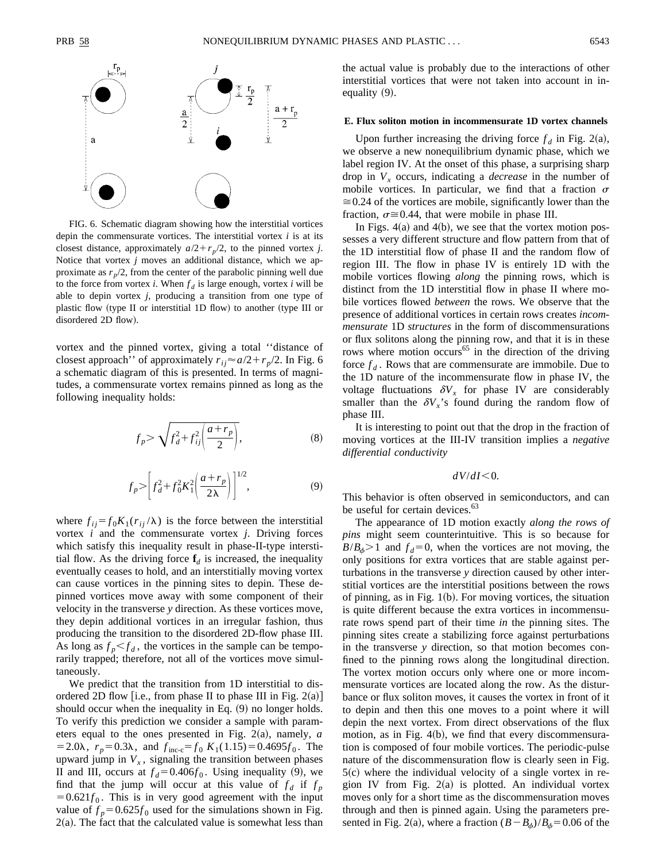

FIG. 6. Schematic diagram showing how the interstitial vortices depin the commensurate vortices. The interstitial vortex *i* is at its closest distance, approximately  $a/2 + r_p/2$ , to the pinned vortex *j*. Notice that vortex *j* moves an additional distance, which we approximate as  $r_p/2$ , from the center of the parabolic pinning well due to the force from vortex *i*. When  $f_d$  is large enough, vortex *i* will be able to depin vortex *j*, producing a transition from one type of plastic flow (type II or interstitial 1D flow) to another (type III or disordered 2D flow).

vortex and the pinned vortex, giving a total ''distance of closest approach'' of approximately  $r_{ii} \approx a/2 + r_p/2$ . In Fig. 6 a schematic diagram of this is presented. In terms of magnitudes, a commensurate vortex remains pinned as long as the following inequality holds:

$$
f_p > \sqrt{f_d^2 + f_{ij}^2 \left(\frac{a + r_p}{2}\right)},\tag{8}
$$

$$
f_p > \left[ f_d^2 + f_0^2 K_1^2 \left( \frac{a + r_p}{2\lambda} \right) \right]^{1/2},
$$
 (9)

where  $f_{ij} = f_0 K_1(r_{ij}/\lambda)$  is the force between the interstitial vortex *i* and the commensurate vortex *j*. Driving forces which satisfy this inequality result in phase-II-type interstitial flow. As the driving force  $f_d$  is increased, the inequality eventually ceases to hold, and an interstitially moving vortex can cause vortices in the pinning sites to depin. These depinned vortices move away with some component of their velocity in the transverse *y* direction. As these vortices move, they depin additional vortices in an irregular fashion, thus producing the transition to the disordered 2D-flow phase III. As long as  $f_p < f_d$ , the vortices in the sample can be temporarily trapped; therefore, not all of the vortices move simultaneously.

We predict that the transition from 1D interstitial to disordered 2D flow [i.e., from phase II to phase III in Fig.  $2(a)$ ] should occur when the inequality in Eq.  $(9)$  no longer holds. To verify this prediction we consider a sample with parameters equal to the ones presented in Fig.  $2(a)$ , namely, *a* = 2.0 $\lambda$ ,  $r_p = 0.3\lambda$ , and  $f_{\text{inc-c}} = f_0 K_1(1.15) = 0.4695f_0$ . The upward jump in  $V_x$ , signaling the transition between phases II and III, occurs at  $f_d = 0.406 f_0$ . Using inequality (9), we find that the jump will occur at this value of  $f_d$  if  $f_p$  $=0.621f<sub>0</sub>$ . This is in very good agreement with the input value of  $f_p = 0.625 f_0$  used for the simulations shown in Fig.  $2(a)$ . The fact that the calculated value is somewhat less than the actual value is probably due to the interactions of other interstitial vortices that were not taken into account in inequality  $(9)$ .

#### **E. Flux soliton motion in incommensurate 1D vortex channels**

Upon further increasing the driving force  $f_d$  in Fig. 2(a), we observe a new nonequilibrium dynamic phase, which we label region IV. At the onset of this phase, a surprising sharp drop in *Vx* occurs, indicating a *decrease* in the number of mobile vortices. In particular, we find that a fraction  $\sigma$  $\approx 0.24$  of the vortices are mobile, significantly lower than the fraction,  $\sigma \approx 0.44$ , that were mobile in phase III.

In Figs.  $4(a)$  and  $4(b)$ , we see that the vortex motion possesses a very different structure and flow pattern from that of the 1D interstitial flow of phase II and the random flow of region III. The flow in phase IV is entirely 1D with the mobile vortices flowing *along* the pinning rows, which is distinct from the 1D interstitial flow in phase II where mobile vortices flowed *between* the rows. We observe that the presence of additional vortices in certain rows creates *incommensurate* 1D *structures* in the form of discommensurations or flux solitons along the pinning row, and that it is in these rows where motion occurs<sup>65</sup> in the direction of the driving force  $f_d$ . Rows that are commensurate are immobile. Due to the 1D nature of the incommensurate flow in phase IV, the voltage fluctuations  $\delta V_x$  for phase IV are considerably smaller than the  $\delta V_x$ 's found during the random flow of phase III.

It is interesting to point out that the drop in the fraction of moving vortices at the III-IV transition implies a *negative differential conductivity*

### $dV/dI < 0$ .

This behavior is often observed in semiconductors, and can be useful for certain devices.<sup>63</sup>

The appearance of 1D motion exactly *along the rows of pins* might seem counterintuitive. This is so because for  $B/B_{\phi} > 1$  and  $f_{d} = 0$ , when the vortices are not moving, the only positions for extra vortices that are stable against perturbations in the transverse *y* direction caused by other interstitial vortices are the interstitial positions between the rows of pinning, as in Fig.  $1(b)$ . For moving vortices, the situation is quite different because the extra vortices in incommensurate rows spend part of their time *in* the pinning sites. The pinning sites create a stabilizing force against perturbations in the transverse *y* direction, so that motion becomes confined to the pinning rows along the longitudinal direction. The vortex motion occurs only where one or more incommensurate vortices are located along the row. As the disturbance or flux soliton moves, it causes the vortex in front of it to depin and then this one moves to a point where it will depin the next vortex. From direct observations of the flux motion, as in Fig.  $4(b)$ , we find that every discommensuration is composed of four mobile vortices. The periodic-pulse nature of the discommensuration flow is clearly seen in Fig.  $5(c)$  where the individual velocity of a single vortex in region IV from Fig.  $2(a)$  is plotted. An individual vortex moves only for a short time as the discommensuration moves through and then is pinned again. Using the parameters presented in Fig. 2(a), where a fraction  $(B - B_{\phi})/B_{\phi} = 0.06$  of the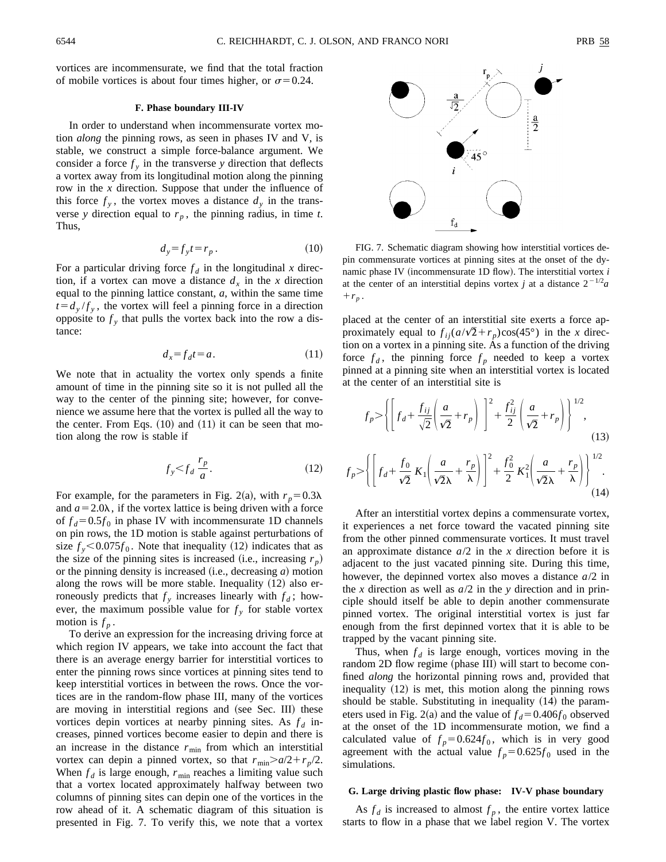vortices are incommensurate, we find that the total fraction of mobile vortices is about four times higher, or  $\sigma$ =0.24.

## **F. Phase boundary III-IV**

In order to understand when incommensurate vortex motion *along* the pinning rows, as seen in phases IV and V, is stable, we construct a simple force-balance argument. We consider a force  $f<sub>y</sub>$  in the transverse *y* direction that deflects a vortex away from its longitudinal motion along the pinning row in the *x* direction. Suppose that under the influence of this force  $f_y$ , the vortex moves a distance  $d_y$  in the transverse *y* direction equal to  $r_p$ , the pinning radius, in time *t*. Thus,

$$
d_y = f_y t = r_p. \tag{10}
$$

For a particular driving force  $f_d$  in the longitudinal *x* direction, if a vortex can move a distance  $d_x$  in the *x* direction equal to the pinning lattice constant, *a*, within the same time  $t = d_y / f_y$ , the vortex will feel a pinning force in a direction opposite to  $f<sub>y</sub>$  that pulls the vortex back into the row a distance:

$$
d_x = f_d t = a. \tag{11}
$$

We note that in actuality the vortex only spends a finite amount of time in the pinning site so it is not pulled all the way to the center of the pinning site; however, for convenience we assume here that the vortex is pulled all the way to the center. From Eqs.  $(10)$  and  $(11)$  it can be seen that motion along the row is stable if

$$
f_y < f_d \frac{r_p}{a}.\tag{12}
$$

For example, for the parameters in Fig. 2(a), with  $r_p = 0.3\lambda$ and  $a = 2.0\lambda$ , if the vortex lattice is being driven with a force of  $f_d = 0.5f_0$  in phase IV with incommensurate 1D channels on pin rows, the 1D motion is stable against perturbations of size  $f_y < 0.075f_0$ . Note that inequality (12) indicates that as the size of the pinning sites is increased (i.e., increasing  $r_p$ ) or the pinning density is increased  $(i.e., decreasing a)$  motion along the rows will be more stable. Inequality  $(12)$  also erroneously predicts that  $f_y$  increases linearly with  $f_d$ ; however, the maximum possible value for  $f_y$  for stable vortex motion is  $f_p$ .

To derive an expression for the increasing driving force at which region IV appears, we take into account the fact that there is an average energy barrier for interstitial vortices to enter the pinning rows since vortices at pinning sites tend to keep interstitial vortices in between the rows. Once the vortices are in the random-flow phase III, many of the vortices are moving in interstitial regions and (see Sec. III) these vortices depin vortices at nearby pinning sites. As  $f_d$  increases, pinned vortices become easier to depin and there is an increase in the distance  $r_{\text{min}}$  from which an interstitial vortex can depin a pinned vortex, so that  $r_{\text{min}} > a/2 + r_p/2$ . When  $f_d$  is large enough,  $r_{\text{min}}$  reaches a limiting value such that a vortex located approximately halfway between two columns of pinning sites can depin one of the vortices in the row ahead of it. A schematic diagram of this situation is presented in Fig. 7. To verify this, we note that a vortex



FIG. 7. Schematic diagram showing how interstitial vortices depin commensurate vortices at pinning sites at the onset of the dynamic phase IV (incommensurate 1D flow). The interstitial vortex  $i$ at the center of an interstitial depins vortex *j* at a distance  $2^{-1/2}a$  $+r_p$ .

placed at the center of an interstitial site exerts a force approximately equal to  $f_{ij}(a/\sqrt{2}+r_p)\cos(45^\circ)$  in the *x* direction on a vortex in a pinning site. As a function of the driving force  $f_d$ , the pinning force  $f_p$  needed to keep a vortex pinned at a pinning site when an interstitial vortex is located at the center of an interstitial site is

$$
f_p > \left\{ \left[ f_d + \frac{f_{ij}}{\sqrt{2}} \left( \frac{a}{\sqrt{2}} + r_p \right) \right]^2 + \frac{f_{ij}^2}{2} \left( \frac{a}{\sqrt{2}} + r_p \right) \right\}^{1/2},
$$
\n(13)

$$
f_p > \left\{ \left[ f_d + \frac{f_0}{\sqrt{2}} K_1 \left( \frac{a}{\sqrt{2}\lambda} + \frac{r_p}{\lambda} \right) \right]^2 + \frac{f_0^2}{2} K_1^2 \left( \frac{a}{\sqrt{2}\lambda} + \frac{r_p}{\lambda} \right) \right\}^{1/2}.
$$
\n(14)

After an interstitial vortex depins a commensurate vortex, it experiences a net force toward the vacated pinning site from the other pinned commensurate vortices. It must travel an approximate distance *a*/2 in the *x* direction before it is adjacent to the just vacated pinning site. During this time, however, the depinned vortex also moves a distance *a*/2 in the *x* direction as well as *a*/2 in the *y* direction and in principle should itself be able to depin another commensurate pinned vortex. The original interstitial vortex is just far enough from the first depinned vortex that it is able to be trapped by the vacant pinning site.

Thus, when  $f_d$  is large enough, vortices moving in the random 2D flow regime (phase III) will start to become confined *along* the horizontal pinning rows and, provided that inequality  $(12)$  is met, this motion along the pinning rows should be stable. Substituting in inequality  $(14)$  the parameters used in Fig. 2(a) and the value of  $f_d = 0.406 f_0$  observed at the onset of the 1D incommensurate motion, we find a calculated value of  $f_p = 0.624 f_0$ , which is in very good agreement with the actual value  $f_p = 0.625 f_0$  used in the simulations.

#### **G. Large driving plastic flow phase: IV-V phase boundary**

As  $f_d$  is increased to almost  $f_p$ , the entire vortex lattice starts to flow in a phase that we label region V. The vortex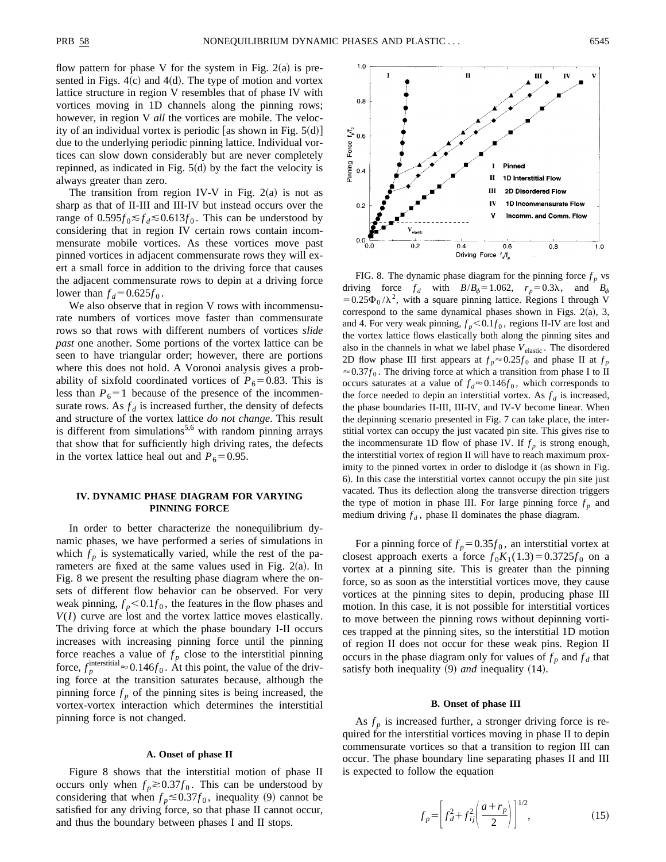flow pattern for phase V for the system in Fig.  $2(a)$  is presented in Figs.  $4(c)$  and  $4(d)$ . The type of motion and vortex lattice structure in region V resembles that of phase IV with vortices moving in 1D channels along the pinning rows; however, in region V *all* the vortices are mobile. The velocity of an individual vortex is periodic [as shown in Fig.  $5(d)$ ] due to the underlying periodic pinning lattice. Individual vortices can slow down considerably but are never completely repinned, as indicated in Fig.  $5(d)$  by the fact the velocity is always greater than zero.

The transition from region IV-V in Fig.  $2(a)$  is not as sharp as that of II-III and III-IV but instead occurs over the range of  $0.595f_0 \lesssim f_d \lesssim 0.613f_0$ . This can be understood by considering that in region IV certain rows contain incommensurate mobile vortices. As these vortices move past pinned vortices in adjacent commensurate rows they will exert a small force in addition to the driving force that causes the adjacent commensurate rows to depin at a driving force lower than  $f_d = 0.625f_0$ .

We also observe that in region V rows with incommensurate numbers of vortices move faster than commensurate rows so that rows with different numbers of vortices *slide past* one another. Some portions of the vortex lattice can be seen to have triangular order; however, there are portions where this does not hold. A Voronoi analysis gives a probability of sixfold coordinated vortices of  $P_6=0.83$ . This is less than  $P_6=1$  because of the presence of the incommensurate rows. As  $f_d$  is increased further, the density of defects and structure of the vortex lattice *do not change*. This result is different from simulations<sup>5,6</sup> with random pinning arrays that show that for sufficiently high driving rates, the defects in the vortex lattice heal out and  $P_6 = 0.95$ .

## **IV. DYNAMIC PHASE DIAGRAM FOR VARYING PINNING FORCE**

In order to better characterize the nonequilibrium dynamic phases, we have performed a series of simulations in which  $f_p$  is systematically varied, while the rest of the parameters are fixed at the same values used in Fig.  $2(a)$ . In Fig. 8 we present the resulting phase diagram where the onsets of different flow behavior can be observed. For very weak pinning,  $f_p < 0.1f_0$ , the features in the flow phases and *V*(*I*) curve are lost and the vortex lattice moves elastically. The driving force at which the phase boundary I-II occurs increases with increasing pinning force until the pinning force reaches a value of  $f_p$  close to the interstitial pinning force,  $f_p^{\text{interstital}} \approx 0.146 f_0$ . At this point, the value of the driving force at the transition saturates because, although the pinning force  $f_p$  of the pinning sites is being increased, the vortex-vortex interaction which determines the interstitial pinning force is not changed.

#### **A. Onset of phase II**

Figure 8 shows that the interstitial motion of phase II occurs only when  $f_p \gtrsim 0.37 f_0$ . This can be understood by considering that when  $f_p \le 0.37f_0$ , inequality (9) cannot be satisfied for any driving force, so that phase II cannot occur, and thus the boundary between phases I and II stops.



FIG. 8. The dynamic phase diagram for the pinning force  $f_p$  vs driving force  $f_d$  with  $B/B_\phi=1.062$ ,  $r_p=0.3\lambda$ , and  $B_\phi$ =  $0.25\Phi_0/\lambda^2$ , with a square pinning lattice. Regions I through V correspond to the same dynamical phases shown in Figs.  $2(a)$ , 3, and 4. For very weak pinning,  $f_p < 0.1f_0$ , regions II-IV are lost and the vortex lattice flows elastically both along the pinning sites and also in the channels in what we label phase *V*elastic . The disordered 2D flow phase III first appears at  $f_p \approx 0.25 f_0$  and phase II at  $f_p$  $\approx 0.37 f_0$ . The driving force at which a transition from phase I to II occurs saturates at a value of  $f_d \approx 0.146 f_0$ , which corresponds to the force needed to depin an interstitial vortex. As  $f_d$  is increased, the phase boundaries II-III, III-IV, and IV-V become linear. When the depinning scenario presented in Fig. 7 can take place, the interstitial vortex can occupy the just vacated pin site. This gives rise to the incommensurate 1D flow of phase IV. If  $f_p$  is strong enough, the interstitial vortex of region II will have to reach maximum proximity to the pinned vortex in order to dislodge it (as shown in Fig. 6). In this case the interstitial vortex cannot occupy the pin site just vacated. Thus its deflection along the transverse direction triggers the type of motion in phase III. For large pinning force  $f_p$  and medium driving  $f_d$ , phase II dominates the phase diagram.

For a pinning force of  $f_p = 0.35f_0$ , an interstitial vortex at closest approach exerts a force  $f_0K_1(1.3)=0.3725f_0$  on a vortex at a pinning site. This is greater than the pinning force, so as soon as the interstitial vortices move, they cause vortices at the pinning sites to depin, producing phase III motion. In this case, it is not possible for interstitial vortices to move between the pinning rows without depinning vortices trapped at the pinning sites, so the interstitial 1D motion of region II does not occur for these weak pins. Region II occurs in the phase diagram only for values of  $f_p$  and  $f_d$  that satisfy both inequality (9) and inequality (14).

#### **B. Onset of phase III**

As  $f_p$  is increased further, a stronger driving force is required for the interstitial vortices moving in phase II to depin commensurate vortices so that a transition to region III can occur. The phase boundary line separating phases II and III is expected to follow the equation

$$
f_p = \left[ f_d^2 + f_{ij}^2 \left( \frac{a + r_p}{2} \right) \right]^{1/2},
$$
 (15)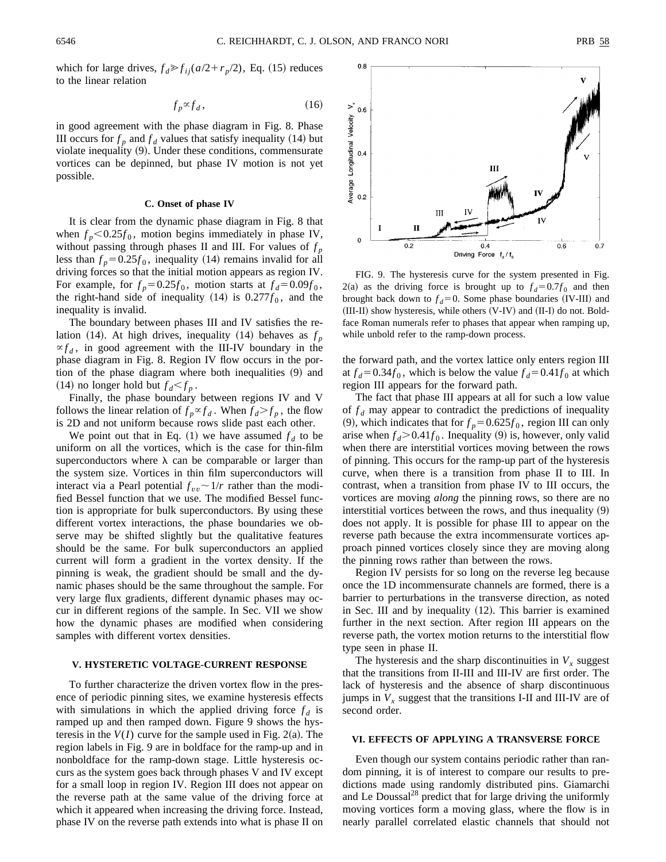which for large drives,  $f_d \ge f_{ij}(a/2 + r_p/2)$ , Eq. (15) reduces to the linear relation

$$
f_p \propto f_d, \tag{16}
$$

in good agreement with the phase diagram in Fig. 8. Phase III occurs for  $f_p$  and  $f_d$  values that satisfy inequality (14) but violate inequality  $(9)$ . Under these conditions, commensurate vortices can be depinned, but phase IV motion is not yet possible.

## **C. Onset of phase IV**

It is clear from the dynamic phase diagram in Fig. 8 that when  $f_p < 0.25f_0$ , motion begins immediately in phase IV, without passing through phases II and III. For values of  $f_p$ less than  $f_p = 0.25f_0$ , inequality (14) remains invalid for all driving forces so that the initial motion appears as region IV. For example, for  $f_p = 0.25f_0$ , motion starts at  $f_d = 0.09f_0$ , the right-hand side of inequality  $(14)$  is  $0.277f_0$ , and the inequality is invalid.

The boundary between phases III and IV satisfies the relation  $(14)$ . At high drives, inequality  $(14)$  behaves as  $f_p$  ${}^{\alpha}f_{d}$ , in good agreement with the III-IV boundary in the phase diagram in Fig. 8. Region IV flow occurs in the portion of the phase diagram where both inequalities (9) and (14) no longer hold but  $f_d < f_p$ .

Finally, the phase boundary between regions IV and V follows the linear relation of  $f_p \propto f_d$ . When  $f_d > f_p$ , the flow is 2D and not uniform because rows slide past each other.

We point out that in Eq.  $(1)$  we have assumed  $f_d$  to be uniform on all the vortices, which is the case for thin-film superconductors where  $\lambda$  can be comparable or larger than the system size. Vortices in thin film superconductors will interact via a Pearl potential  $f_{vv} \sim 1/r$  rather than the modified Bessel function that we use. The modified Bessel function is appropriate for bulk superconductors. By using these different vortex interactions, the phase boundaries we observe may be shifted slightly but the qualitative features should be the same. For bulk superconductors an applied current will form a gradient in the vortex density. If the pinning is weak, the gradient should be small and the dynamic phases should be the same throughout the sample. For very large flux gradients, different dynamic phases may occur in different regions of the sample. In Sec. VII we show how the dynamic phases are modified when considering samples with different vortex densities.

## **V. HYSTERETIC VOLTAGE-CURRENT RESPONSE**

To further characterize the driven vortex flow in the presence of periodic pinning sites, we examine hysteresis effects with simulations in which the applied driving force  $f_d$  is ramped up and then ramped down. Figure 9 shows the hysteresis in the  $V(I)$  curve for the sample used in Fig. 2(a). The region labels in Fig. 9 are in boldface for the ramp-up and in nonboldface for the ramp-down stage. Little hysteresis occurs as the system goes back through phases V and IV except for a small loop in region IV. Region III does not appear on the reverse path at the same value of the driving force at which it appeared when increasing the driving force. Instead, phase IV on the reverse path extends into what is phase II on



FIG. 9. The hysteresis curve for the system presented in Fig. 2(a) as the driving force is brought up to  $f_d=0.7f_0$  and then brought back down to  $f_d = 0$ . Some phase boundaries (IV-III) and (III-II) show hysteresis, while others (V-IV) and (II-I) do not. Boldface Roman numerals refer to phases that appear when ramping up, while unbold refer to the ramp-down process.

the forward path, and the vortex lattice only enters region III at  $f_d = 0.34 f_0$ , which is below the value  $f_d = 0.41 f_0$  at which region III appears for the forward path.

The fact that phase III appears at all for such a low value of  $f_d$  may appear to contradict the predictions of inequality (9), which indicates that for  $f_p = 0.625f_0$ , region III can only arise when  $f_d > 0.41 f_0$ . Inequality (9) is, however, only valid when there are interstitial vortices moving between the rows of pinning. This occurs for the ramp-up part of the hysteresis curve, when there is a transition from phase II to III. In contrast, when a transition from phase IV to III occurs, the vortices are moving *along* the pinning rows, so there are no interstitial vortices between the rows, and thus inequality  $(9)$ does not apply. It is possible for phase III to appear on the reverse path because the extra incommensurate vortices approach pinned vortices closely since they are moving along the pinning rows rather than between the rows.

Region IV persists for so long on the reverse leg because once the 1D incommensurate channels are formed, there is a barrier to perturbations in the transverse direction, as noted in Sec. III and by inequality  $(12)$ . This barrier is examined further in the next section. After region III appears on the reverse path, the vortex motion returns to the interstitial flow type seen in phase II.

The hysteresis and the sharp discontinuities in  $V<sub>x</sub>$  suggest that the transitions from II-III and III-IV are first order. The lack of hysteresis and the absence of sharp discontinuous jumps in  $V_x$  suggest that the transitions I-II and III-IV are of second order.

#### **VI. EFFECTS OF APPLYING A TRANSVERSE FORCE**

Even though our system contains periodic rather than random pinning, it is of interest to compare our results to predictions made using randomly distributed pins. Giamarchi and Le Doussal<sup>28</sup> predict that for large driving the uniformly moving vortices form a moving glass, where the flow is in nearly parallel correlated elastic channels that should not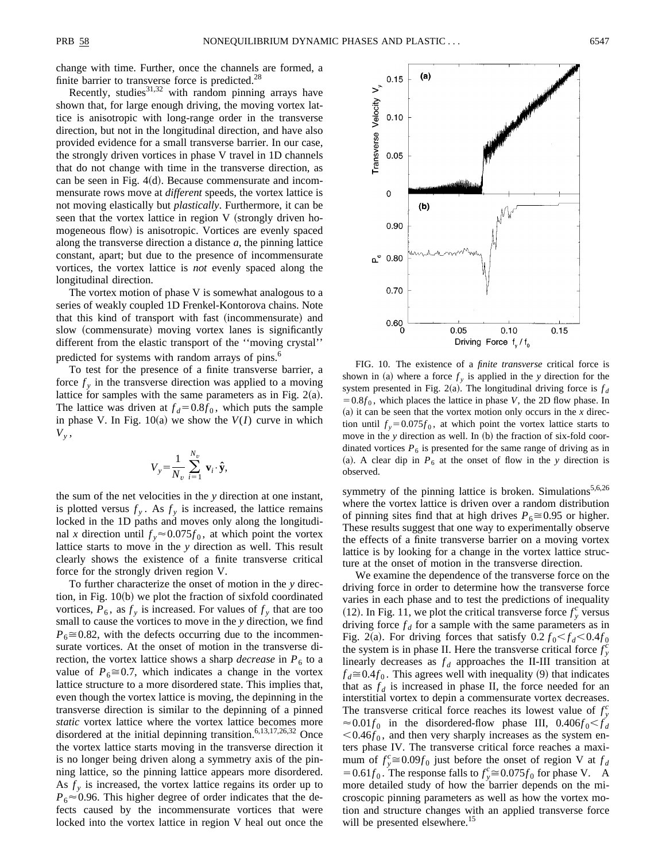change with time. Further, once the channels are formed, a finite barrier to transverse force is predicted.<sup>28</sup>

Recently, studies<sup>31,32</sup> with random pinning arrays have shown that, for large enough driving, the moving vortex lattice is anisotropic with long-range order in the transverse direction, but not in the longitudinal direction, and have also provided evidence for a small transverse barrier. In our case, the strongly driven vortices in phase V travel in 1D channels that do not change with time in the transverse direction, as can be seen in Fig.  $4(d)$ . Because commensurate and incommensurate rows move at *different* speeds, the vortex lattice is not moving elastically but *plastically*. Furthermore, it can be seen that the vortex lattice in region  $V$  (strongly driven homogeneous flow) is anisotropic. Vortices are evenly spaced along the transverse direction a distance *a*, the pinning lattice constant, apart; but due to the presence of incommensurate vortices, the vortex lattice is *not* evenly spaced along the longitudinal direction.

The vortex motion of phase V is somewhat analogous to a series of weakly coupled 1D Frenkel-Kontorova chains. Note that this kind of transport with fast (incommensurate) and slow (commensurate) moving vortex lanes is significantly different from the elastic transport of the ''moving crystal'' predicted for systems with random arrays of pins.<sup>6</sup>

To test for the presence of a finite transverse barrier, a force  $f<sub>y</sub>$  in the transverse direction was applied to a moving lattice for samples with the same parameters as in Fig.  $2(a)$ . The lattice was driven at  $f_d = 0.8f_0$ , which puts the sample in phase V. In Fig.  $10(a)$  we show the  $V(I)$  curve in which *Vy* ,

$$
V_{y} = \frac{1}{N_{v}} \sum_{i=1}^{N_{v}} \mathbf{v}_{i} \cdot \hat{\mathbf{y}},
$$

the sum of the net velocities in the *y* direction at one instant, is plotted versus  $f_y$ . As  $f_y$  is increased, the lattice remains locked in the 1D paths and moves only along the longitudinal *x* direction until  $f_y \approx 0.075f_0$ , at which point the vortex lattice starts to move in the *y* direction as well. This result clearly shows the existence of a finite transverse critical force for the strongly driven region V.

To further characterize the onset of motion in the *y* direction, in Fig.  $10(b)$  we plot the fraction of sixfold coordinated vortices,  $P_6$ , as  $f_y$  is increased. For values of  $f_y$  that are too small to cause the vortices to move in the *y* direction, we find  $P_6 \cong 0.82$ , with the defects occurring due to the incommensurate vortices. At the onset of motion in the transverse direction, the vortex lattice shows a sharp *decrease* in  $P_6$  to a value of  $P_6 \cong 0.7$ , which indicates a change in the vortex lattice structure to a more disordered state. This implies that, even though the vortex lattice is moving, the depinning in the transverse direction is similar to the depinning of a pinned *static* vortex lattice where the vortex lattice becomes more disordered at the initial depinning transition.<sup>6,13,17,26,32</sup> Once the vortex lattice starts moving in the transverse direction it is no longer being driven along a symmetry axis of the pinning lattice, so the pinning lattice appears more disordered. As  $f<sub>y</sub>$  is increased, the vortex lattice regains its order up to  $P_6 \approx 0.96$ . This higher degree of order indicates that the defects caused by the incommensurate vortices that were locked into the vortex lattice in region V heal out once the



FIG. 10. The existence of a *finite transverse* critical force is shown in (a) where a force  $f_y$  is applied in the *y* direction for the system presented in Fig. 2(a). The longitudinal driving force is  $f_d$  $=0.8f<sub>0</sub>$ , which places the lattice in phase *V*, the 2D flow phase. In  $(a)$  it can be seen that the vortex motion only occurs in the *x* direction until  $f_y = 0.075f_0$ , at which point the vortex lattice starts to move in the *y* direction as well. In (b) the fraction of six-fold coordinated vortices  $P_6$  is presented for the same range of driving as in (a). A clear dip in  $P_6$  at the onset of flow in the *y* direction is observed.

symmetry of the pinning lattice is broken. Simulations $5,6,26$ where the vortex lattice is driven over a random distribution of pinning sites find that at high drives  $P_6 \cong 0.95$  or higher. These results suggest that one way to experimentally observe the effects of a finite transverse barrier on a moving vortex lattice is by looking for a change in the vortex lattice structure at the onset of motion in the transverse direction.

We examine the dependence of the transverse force on the driving force in order to determine how the transverse force varies in each phase and to test the predictions of inequality (12). In Fig. 11, we plot the critical transverse force  $f<sub>y</sub><sup>c</sup>$  versus driving force  $f_d$  for a sample with the same parameters as in Fig. 2(a). For driving forces that satisfy  $0.2 f_0 < f_d < 0.4 f_0$ the system is in phase II. Here the transverse critical force  $f_y^c$ linearly decreases as  $f_d$  approaches the II-III transition at  $f_d \approx 0.4 f_0$ . This agrees well with inequality (9) that indicates that as  $f_d$  is increased in phase II, the force needed for an interstitial vortex to depin a commensurate vortex decreases. The transverse critical force reaches its lowest value of  $f<sub>y</sub>$  $\approx 0.01 f_0$  in the disordered-flow phase III,  $0.406 f_0 < f_d$  $< 0.46f_0$ , and then very sharply increases as the system enters phase IV. The transverse critical force reaches a maximum of  $f_y^c \approx 0.09 f_0$  just before the onset of region V at  $f_d$ =  $0.61f_0$ . The response falls to  $f_y^c \approx 0.075f_0$  for phase V. A more detailed study of how the barrier depends on the microscopic pinning parameters as well as how the vortex motion and structure changes with an applied transverse force will be presented elsewhere.<sup>15</sup>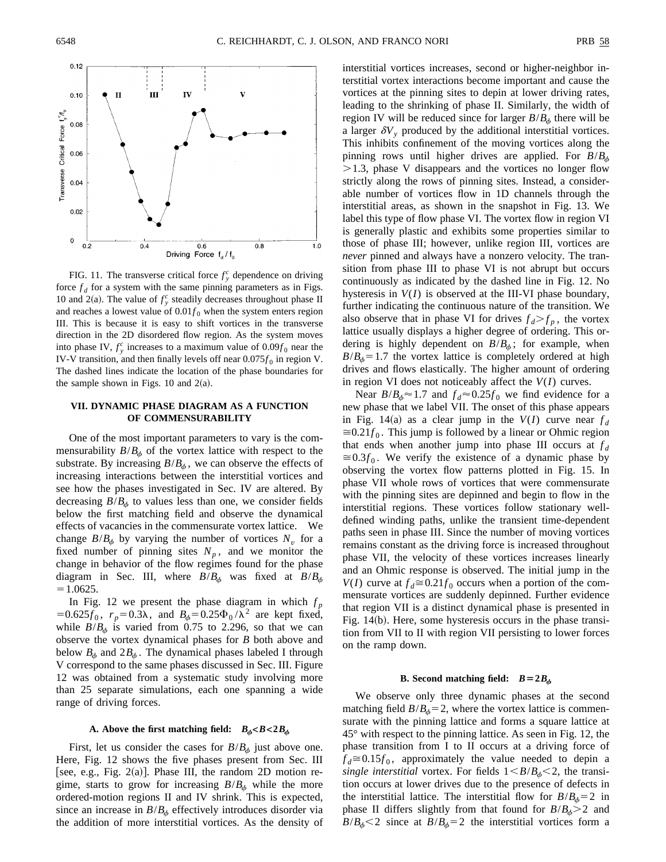

FIG. 11. The transverse critical force  $f_y^c$  dependence on driving force  $f_d$  for a system with the same pinning parameters as in Figs. 10 and 2(a). The value of  $f_y^c$  steadily decreases throughout phase II and reaches a lowest value of  $0.01f_0$  when the system enters region III. This is because it is easy to shift vortices in the transverse direction in the 2D disordered flow region. As the system moves into phase IV,  $f_y^c$  increases to a maximum value of  $0.09f_0$  near the IV-V transition, and then finally levels off near  $0.075f_0$  in region V. The dashed lines indicate the location of the phase boundaries for the sample shown in Figs. 10 and  $2(a)$ .

## **VII. DYNAMIC PHASE DIAGRAM AS A FUNCTION OF COMMENSURABILITY**

One of the most important parameters to vary is the commensurability  $B/B_{\phi}$  of the vortex lattice with respect to the substrate. By increasing  $B/B_{\phi}$ , we can observe the effects of increasing interactions between the interstitial vortices and see how the phases investigated in Sec. IV are altered. By decreasing  $B/B_{\phi}$  to values less than one, we consider fields below the first matching field and observe the dynamical effects of vacancies in the commensurate vortex lattice. We change  $B/B_{\phi}$  by varying the number of vortices  $N_{\nu}$  for a fixed number of pinning sites  $N_p$ , and we monitor the change in behavior of the flow regimes found for the phase diagram in Sec. III, where  $B/B_{\phi}$  was fixed at  $B/B_{\phi}$  $=1.0625.$ 

In Fig. 12 we present the phase diagram in which  $f_p$ =0.625 $f_0$ ,  $r_p$ =0.3 $\lambda$ , and  $B_\phi$ =0.25 $\Phi_0/\lambda^2$  are kept fixed, while  $B/B_{\phi}$  is varied from 0.75 to 2.296, so that we can observe the vortex dynamical phases for *B* both above and below  $B_{\phi}$  and  $2B_{\phi}$ . The dynamical phases labeled I through V correspond to the same phases discussed in Sec. III. Figure 12 was obtained from a systematic study involving more than 25 separate simulations, each one spanning a wide range of driving forces.

## **A.** Above the first matching field:  $B_{\phi} < B < 2B_{\phi}$

First, let us consider the cases for  $B/B_{\phi}$  just above one. Here, Fig. 12 shows the five phases present from Sec. III [see, e.g., Fig. 2(a)]. Phase III, the random 2D motion regime, starts to grow for increasing  $B/B_\phi$  while the more ordered-motion regions II and IV shrink. This is expected, since an increase in  $B/B_{\phi}$  effectively introduces disorder via the addition of more interstitial vortices. As the density of interstitial vortices increases, second or higher-neighbor interstitial vortex interactions become important and cause the vortices at the pinning sites to depin at lower driving rates, leading to the shrinking of phase II. Similarly, the width of region IV will be reduced since for larger  $B/B_{\phi}$  there will be a larger  $\delta V_y$  produced by the additional interstitial vortices. This inhibits confinement of the moving vortices along the pinning rows until higher drives are applied. For  $B/B_{\phi}$  $>1.3$ , phase V disappears and the vortices no longer flow strictly along the rows of pinning sites. Instead, a considerable number of vortices flow in 1D channels through the interstitial areas, as shown in the snapshot in Fig. 13. We label this type of flow phase VI. The vortex flow in region VI is generally plastic and exhibits some properties similar to those of phase III; however, unlike region III, vortices are *never* pinned and always have a nonzero velocity. The transition from phase III to phase VI is not abrupt but occurs continuously as indicated by the dashed line in Fig. 12. No hysteresis in  $V(I)$  is observed at the III-VI phase boundary, further indicating the continuous nature of the transition. We also observe that in phase VI for drives  $f_d > f_p$ , the vortex lattice usually displays a higher degree of ordering. This ordering is highly dependent on  $B/B_{\phi}$ ; for example, when  $B/B_{\phi}=1.7$  the vortex lattice is completely ordered at high drives and flows elastically. The higher amount of ordering in region VI does not noticeably affect the *V*(*I*) curves.

Near  $B/B_{\phi} \approx 1.7$  and  $f_d \approx 0.25 f_0$  we find evidence for a new phase that we label VII. The onset of this phase appears in Fig. 14(a) as a clear jump in the  $V(I)$  curve near  $f_d$  $\approx 0.21 f_0$ . This jump is followed by a linear or Ohmic region that ends when another jump into phase III occurs at  $f_d$  $\approx 0.3f_0$ . We verify the existence of a dynamic phase by observing the vortex flow patterns plotted in Fig. 15. In phase VII whole rows of vortices that were commensurate with the pinning sites are depinned and begin to flow in the interstitial regions. These vortices follow stationary welldefined winding paths, unlike the transient time-dependent paths seen in phase III. Since the number of moving vortices remains constant as the driving force is increased throughout phase VII, the velocity of these vortices increases linearly and an Ohmic response is observed. The initial jump in the *V*(*I*) curve at  $f_d \approx 0.21 f_0$  occurs when a portion of the commensurate vortices are suddenly depinned. Further evidence that region VII is a distinct dynamical phase is presented in Fig.  $14(b)$ . Here, some hysteresis occurs in the phase transition from VII to II with region VII persisting to lower forces on the ramp down.

#### **B.** Second matching field:  $B=2B<sub>A</sub>$

We observe only three dynamic phases at the second matching field  $B/B_{\phi}=2$ , where the vortex lattice is commensurate with the pinning lattice and forms a square lattice at 45° with respect to the pinning lattice. As seen in Fig. 12, the phase transition from I to II occurs at a driving force of  $f_d \approx 0.15 f_0$ , approximately the value needed to depin a *single interstitial* vortex. For fields  $1 \lt B/B_{\phi} \lt 2$ , the transition occurs at lower drives due to the presence of defects in the interstitial lattice. The interstitial flow for  $B/B_{\phi}=2$  in phase II differs slightly from that found for  $B/B_{\phi} > 2$  and  $B/B_{\phi}$ <2 since at  $B/B_{\phi}=2$  the interstitial vortices form a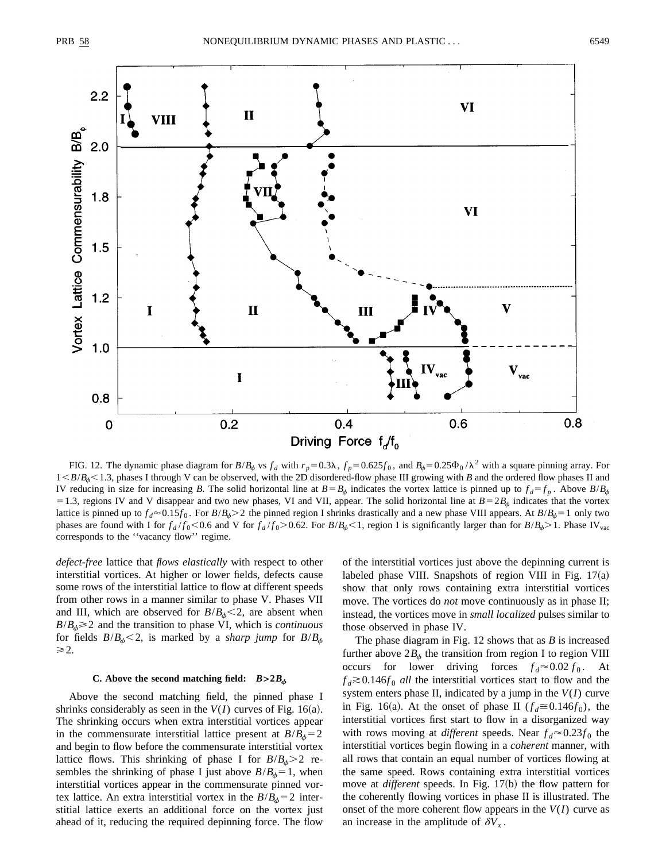

FIG. 12. The dynamic phase diagram for  $B/B_\phi$  vs  $f_d$  with  $r_p = 0.3\lambda$ ,  $f_p = 0.625f_0$ , and  $B_\phi = 0.25\Phi_0/\lambda^2$  with a square pinning array. For  $1 < B/B<sub>0</sub> < 1.3$ , phases I through V can be observed, with the 2D disordered-flow phase III growing with *B* and the ordered flow phases II and IV reducing in size for increasing *B*. The solid horizontal line at  $B = B_{\phi}$  indicates the vortex lattice is pinned up to  $f_d = f_p$ . Above  $B/B_{\phi}$  $=1.3$ , regions IV and V disappear and two new phases, VI and VII, appear. The solid horizontal line at  $B=2B_{\phi}$  indicates that the vortex lattice is pinned up to  $f_d \approx 0.15f_0$ . For  $B/B_\phi > 2$  the pinned region I shrinks drastically and a new phase VIII appears. At  $B/B_\phi = 1$  only two phases are found with I for  $f_d/f_0$ <0.6 and V for  $f_d/f_0$ >0.62. For  $B/B_\phi$ <1, region I is significantly larger than for  $B/B_\phi$ >1. Phase IV<sub>vac</sub> corresponds to the ''vacancy flow'' regime.

*defect-free* lattice that *flows elastically* with respect to other interstitial vortices. At higher or lower fields, defects cause some rows of the interstitial lattice to flow at different speeds from other rows in a manner similar to phase V. Phases VII and III, which are observed for  $B/B_{\phi}$ <2, are absent when  $B/B_d \geq 2$  and the transition to phase VI, which is *continuous* for fields  $B/B<sub>6</sub> < 2$ , is marked by a *sharp jump* for  $B/B<sub>6</sub>$  $\geq 2$ .

## C. Above the second matching field:  $B > 2B_{\phi}$

Above the second matching field, the pinned phase I shrinks considerably as seen in the  $V(I)$  curves of Fig. 16(a). The shrinking occurs when extra interstitial vortices appear in the commensurate interstitial lattice present at  $B/B_{\phi}=2$ and begin to flow before the commensurate interstitial vortex lattice flows. This shrinking of phase I for  $B/B_{\phi} > 2$  resembles the shrinking of phase I just above  $B/B_{\phi} = 1$ , when interstitial vortices appear in the commensurate pinned vortex lattice. An extra interstitial vortex in the  $B/B<sub>6</sub>=2$  interstitial lattice exerts an additional force on the vortex just ahead of it, reducing the required depinning force. The flow of the interstitial vortices just above the depinning current is labeled phase VIII. Snapshots of region VIII in Fig.  $17(a)$ show that only rows containing extra interstitial vortices move. The vortices do *not* move continuously as in phase II; instead, the vortices move in *small localized* pulses similar to those observed in phase IV.

The phase diagram in Fig. 12 shows that as *B* is increased further above  $2B<sub>6</sub>$  the transition from region I to region VIII occurs for lower driving forces  $f_d \approx 0.02 f_0$ . At  $f_d \gtrsim 0.146 f_0$  *all* the interstitial vortices start to flow and the system enters phase II, indicated by a jump in the *V*(*I*) curve in Fig. 16(a). At the onset of phase II ( $f_d \approx 0.146 f_0$ ), the interstitial vortices first start to flow in a disorganized way with rows moving at *different* speeds. Near  $f_d \approx 0.23 f_0$  the interstitial vortices begin flowing in a *coherent* manner, with all rows that contain an equal number of vortices flowing at the same speed. Rows containing extra interstitial vortices move at *different* speeds. In Fig. 17(b) the flow pattern for the coherently flowing vortices in phase II is illustrated. The onset of the more coherent flow appears in the  $V(I)$  curve as an increase in the amplitude of  $\delta V_x$ .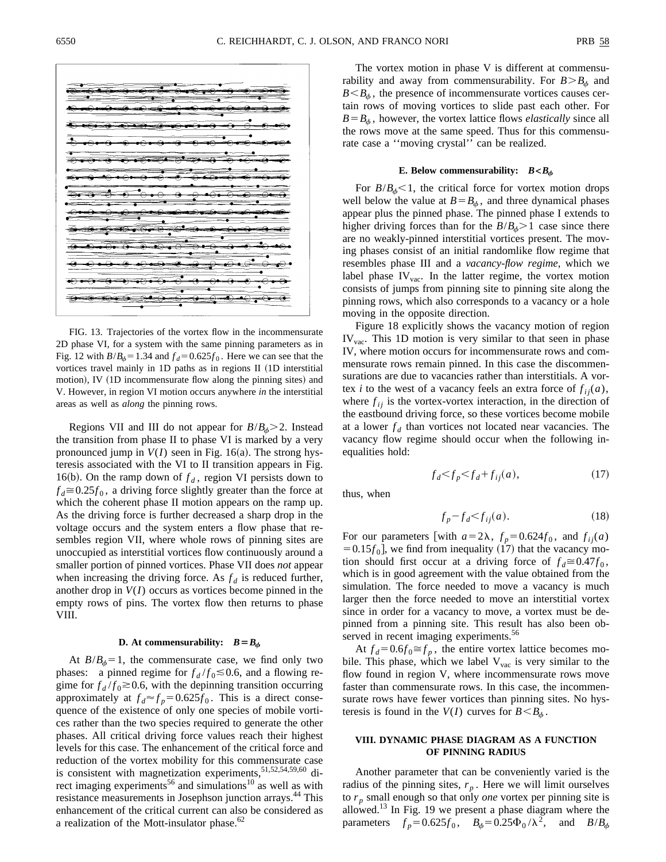

FIG. 13. Trajectories of the vortex flow in the incommensurate 2D phase VI, for a system with the same pinning parameters as in Fig. 12 with  $B/B<sub>6</sub>=1.34$  and  $f<sub>d</sub>=0.625f<sub>0</sub>$ . Here we can see that the vortices travel mainly in 1D paths as in regions II (1D interstitial motion), IV (1D incommensurate flow along the pinning sites) and V. However, in region VI motion occurs anywhere *in* the interstitial areas as well as *along* the pinning rows.

Regions VII and III do not appear for  $B/B<sub>d</sub>>2$ . Instead the transition from phase II to phase VI is marked by a very pronounced jump in  $V(I)$  seen in Fig. 16(a). The strong hysteresis associated with the VI to II transition appears in Fig. 16(b). On the ramp down of  $f_d$ , region VI persists down to  $f_d \approx 0.25 f_0$ , a driving force slightly greater than the force at which the coherent phase II motion appears on the ramp up. As the driving force is further decreased a sharp drop in the voltage occurs and the system enters a flow phase that resembles region VII, where whole rows of pinning sites are unoccupied as interstitial vortices flow continuously around a smaller portion of pinned vortices. Phase VII does *not* appear when increasing the driving force. As  $f_d$  is reduced further, another drop in  $V(I)$  occurs as vortices become pinned in the empty rows of pins. The vortex flow then returns to phase VIII.

#### **D.** At commensurability:  $B = B<sub>A</sub>$

At  $B/B<sub>6</sub>=1$ , the commensurate case, we find only two phases: a pinned regime for  $f_d/f_0 \le 0.6$ , and a flowing regime for  $f_d/f_0 \ge 0.6$ , with the depinning transition occurring approximately at  $f_d \approx f_p = 0.625 f_0$ . This is a direct consequence of the existence of only one species of mobile vortices rather than the two species required to generate the other phases. All critical driving force values reach their highest levels for this case. The enhancement of the critical force and reduction of the vortex mobility for this commensurate case is consistent with magnetization experiments, $51,52,54,59,60$  direct imaging experiments<sup>56</sup> and simulations<sup>10</sup> as well as with resistance measurements in Josephson junction arrays.<sup>44</sup> This enhancement of the critical current can also be considered as a realization of the Mott-insulator phase.<sup>62</sup>

The vortex motion in phase V is different at commensurability and away from commensurability. For  $B > B_{\phi}$  and  $B \leq B_{\phi}$ , the presence of incommensurate vortices causes certain rows of moving vortices to slide past each other. For  $B = B_{\phi}$ , however, the vortex lattice flows *elastically* since all the rows move at the same speed. Thus for this commensurate case a ''moving crystal'' can be realized.

#### **E. Below commensurability:**  $B < B_{\phi}$

For  $B/B_{\phi}$  < 1, the critical force for vortex motion drops well below the value at  $B = B_{\phi}$ , and three dynamical phases appear plus the pinned phase. The pinned phase I extends to higher driving forces than for the  $B/B<sub>6</sub>$ . Case since there are no weakly-pinned interstitial vortices present. The moving phases consist of an initial randomlike flow regime that resembles phase III and a *vacancy-flow regime*, which we label phase  $IV<sub>vac</sub>$ . In the latter regime, the vortex motion consists of jumps from pinning site to pinning site along the pinning rows, which also corresponds to a vacancy or a hole moving in the opposite direction.

Figure 18 explicitly shows the vacancy motion of region  $IV<sub>vac</sub>$ . This 1D motion is very similar to that seen in phase IV, where motion occurs for incommensurate rows and commensurate rows remain pinned. In this case the discommensurations are due to vacancies rather than interstitials. A vortex *i* to the west of a vacancy feels an extra force of  $f_{ii}(a)$ , where  $f_{ii}$  is the vortex-vortex interaction, in the direction of the eastbound driving force, so these vortices become mobile at a lower  $f_d$  than vortices not located near vacancies. The vacancy flow regime should occur when the following inequalities hold:

$$
f_d < f_p < f_d + f_{ij}(a),\tag{17}
$$

thus, when

$$
f_p - f_d < f_{ij}(a). \tag{18}
$$

For our parameters [with  $a=2\lambda$ ,  $f_p=0.624f_0$ , and  $f_{ij}(a)$  $=0.15f<sub>0</sub>$ , we find from inequality (17) that the vacancy motion should first occur at a driving force of  $f_d \approx 0.47 f_0$ , which is in good agreement with the value obtained from the simulation. The force needed to move a vacancy is much larger then the force needed to move an interstitial vortex since in order for a vacancy to move, a vortex must be depinned from a pinning site. This result has also been observed in recent imaging experiments.<sup>56</sup>

At  $f_d = 0.6f_0 \approx f_p$ , the entire vortex lattice becomes mobile. This phase, which we label  $V_{\text{vac}}$  is very similar to the flow found in region V, where incommensurate rows move faster than commensurate rows. In this case, the incommensurate rows have fewer vortices than pinning sites. No hysteresis is found in the  $V(I)$  curves for  $B \leq B_\phi$ .

## **VIII. DYNAMIC PHASE DIAGRAM AS A FUNCTION OF PINNING RADIUS**

Another parameter that can be conveniently varied is the radius of the pinning sites,  $r_p$ . Here we will limit ourselves to  $r_p$  small enough so that only *one* vortex per pinning site is allowed.<sup>13</sup> In Fig. 19 we present a phase diagram where the parameters  $f_p=0.625f_0$ ,  $B_\phi=0.25\Phi_0/\lambda^2$ , and  $B/B_\phi$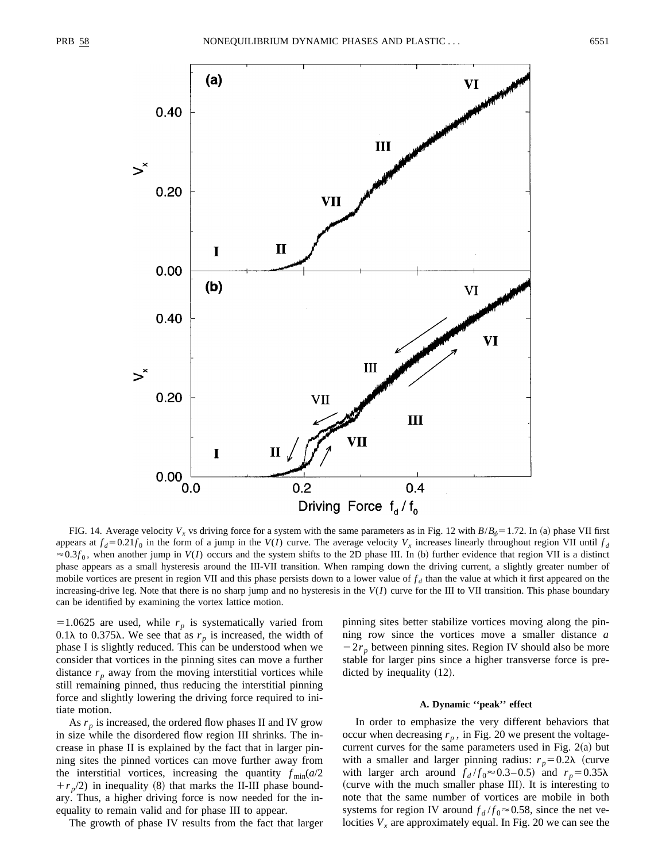

FIG. 14. Average velocity  $V_x$  vs driving force for a system with the same parameters as in Fig. 12 with  $B/B<sub>6</sub>=1.72$ . In (a) phase VII first appears at  $f_d = 0.21 f_0$  in the form of a jump in the  $V(I)$  curve. The average velocity  $V_x$  increases linearly throughout region VII until  $f_d$  $\approx 0.3 f_0$ , when another jump in *V(I)* occurs and the system shifts to the 2D phase III. In (b) further evidence that region VII is a distinct phase appears as a small hysteresis around the III-VII transition. When ramping down the driving current, a slightly greater number of mobile vortices are present in region VII and this phase persists down to a lower value of *f <sup>d</sup>* than the value at which it first appeared on the increasing-drive leg. Note that there is no sharp jump and no hysteresis in the *V*(*I*) curve for the III to VII transition. This phase boundary can be identified by examining the vortex lattice motion.

 $=1.0625$  are used, while  $r_p$  is systematically varied from 0.1 $\lambda$  to 0.375 $\lambda$ . We see that as  $r_p$  is increased, the width of phase I is slightly reduced. This can be understood when we consider that vortices in the pinning sites can move a further distance  $r_p$  away from the moving interstitial vortices while still remaining pinned, thus reducing the interstitial pinning force and slightly lowering the driving force required to initiate motion.

As  $r_p$  is increased, the ordered flow phases II and IV grow in size while the disordered flow region III shrinks. The increase in phase II is explained by the fact that in larger pinning sites the pinned vortices can move further away from the interstitial vortices, increasing the quantity  $f_{\text{min}}(a/2)$  $+r_p/2$ ) in inequality (8) that marks the II-III phase boundary. Thus, a higher driving force is now needed for the inequality to remain valid and for phase III to appear.

The growth of phase IV results from the fact that larger

pinning sites better stabilize vortices moving along the pinning row since the vortices move a smaller distance *a*  $-2r<sub>p</sub>$  between pinning sites. Region IV should also be more stable for larger pins since a higher transverse force is predicted by inequality  $(12)$ .

## **A. Dynamic ''peak'' effect**

In order to emphasize the very different behaviors that occur when decreasing  $r_p$ , in Fig. 20 we present the voltagecurrent curves for the same parameters used in Fig.  $2(a)$  but with a smaller and larger pinning radius:  $r_p = 0.2\lambda$  (curve with larger arch around  $f_d / f_0 \approx 0.3 - 0.5$ ) and  $r_p = 0.35\lambda$ (curve with the much smaller phase III). It is interesting to note that the same number of vortices are mobile in both systems for region IV around  $f_d/f_0 \approx 0.58$ , since the net velocities  $V_x$  are approximately equal. In Fig. 20 we can see the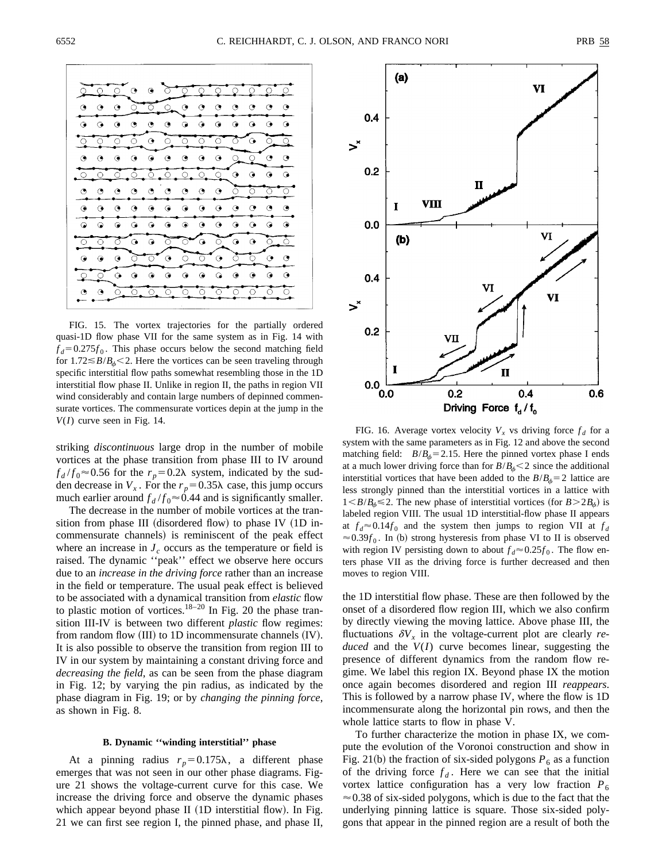

FIG. 15. The vortex trajectories for the partially ordered quasi-1D flow phase VII for the same system as in Fig. 14 with  $f_d = 0.275f_0$ . This phase occurs below the second matching field for  $1.72 \leq B/B_0 \leq 2$ . Here the vortices can be seen traveling through specific interstitial flow paths somewhat resembling those in the 1D interstitial flow phase II. Unlike in region II, the paths in region VII wind considerably and contain large numbers of depinned commensurate vortices. The commensurate vortices depin at the jump in the *V*(*I*) curve seen in Fig. 14.

striking *discontinuous* large drop in the number of mobile vortices at the phase transition from phase III to IV around  $f_d/f_0 \approx 0.56$  for the  $r_p = 0.2\lambda$  system, indicated by the sudden decrease in  $V_x$ . For the  $r_p = 0.35\lambda$  case, this jump occurs much earlier around  $f_d/f_0 \approx 0.44$  and is significantly smaller.

The decrease in the number of mobile vortices at the transition from phase III (disordered flow) to phase IV  $(1D)$  incommensurate channels) is reminiscent of the peak effect where an increase in  $J_c$  occurs as the temperature or field is raised. The dynamic ''peak'' effect we observe here occurs due to an *increase in the driving force* rather than an increase in the field or temperature. The usual peak effect is believed to be associated with a dynamical transition from *elastic* flow to plastic motion of vortices.<sup>18–20</sup> In Fig. 20 the phase transition III-IV is between two different *plastic* flow regimes: from random flow  $(III)$  to 1D incommensurate channels  $(IV)$ . It is also possible to observe the transition from region III to IV in our system by maintaining a constant driving force and *decreasing the field*, as can be seen from the phase diagram in Fig. 12; by varying the pin radius, as indicated by the phase diagram in Fig. 19; or by *changing the pinning force*, as shown in Fig. 8.

## **B. Dynamic ''winding interstitial'' phase**

At a pinning radius  $r_p = 0.175\lambda$ , a different phase emerges that was not seen in our other phase diagrams. Figure 21 shows the voltage-current curve for this case. We increase the driving force and observe the dynamic phases which appear beyond phase  $II$  (1D interstitial flow). In Fig. 21 we can first see region I, the pinned phase, and phase II,



FIG. 16. Average vortex velocity  $V_x$  vs driving force  $f_d$  for a system with the same parameters as in Fig. 12 and above the second matching field:  $B/B<sub>6</sub>=2.15$ . Here the pinned vortex phase I ends at a much lower driving force than for  $B/B<sub>\phi</sub> < 2$  since the additional interstitial vortices that have been added to the  $B/B_{\phi}=2$  lattice are less strongly pinned than the interstitial vortices in a lattice with  $1 \leq B/B_d \leq 2$ . The new phase of interstitial vortices (for  $B > 2B_d$ ) is labeled region VIII. The usual 1D interstitial-flow phase II appears at  $f_d \approx 0.14 f_0$  and the system then jumps to region VII at  $f_d$  $\approx 0.39 f_0$ . In (b) strong hysteresis from phase VI to II is observed with region IV persisting down to about  $f_d \approx 0.25 f_0$ . The flow enters phase VII as the driving force is further decreased and then moves to region VIII.

the 1D interstitial flow phase. These are then followed by the onset of a disordered flow region III, which we also confirm by directly viewing the moving lattice. Above phase III, the fluctuations  $\delta V_x$  in the voltage-current plot are clearly *reduced* and the *V*(*I*) curve becomes linear, suggesting the presence of different dynamics from the random flow regime. We label this region IX. Beyond phase IX the motion once again becomes disordered and region III *reappears*. This is followed by a narrow phase IV, where the flow is 1D incommensurate along the horizontal pin rows, and then the whole lattice starts to flow in phase V.

To further characterize the motion in phase IX, we compute the evolution of the Voronoi construction and show in Fig. 21(b) the fraction of six-sided polygons  $P_6$  as a function of the driving force  $f_d$ . Here we can see that the initial vortex lattice configuration has a very low fraction  $P_6$  $\approx$  0.38 of six-sided polygons, which is due to the fact that the underlying pinning lattice is square. Those six-sided polygons that appear in the pinned region are a result of both the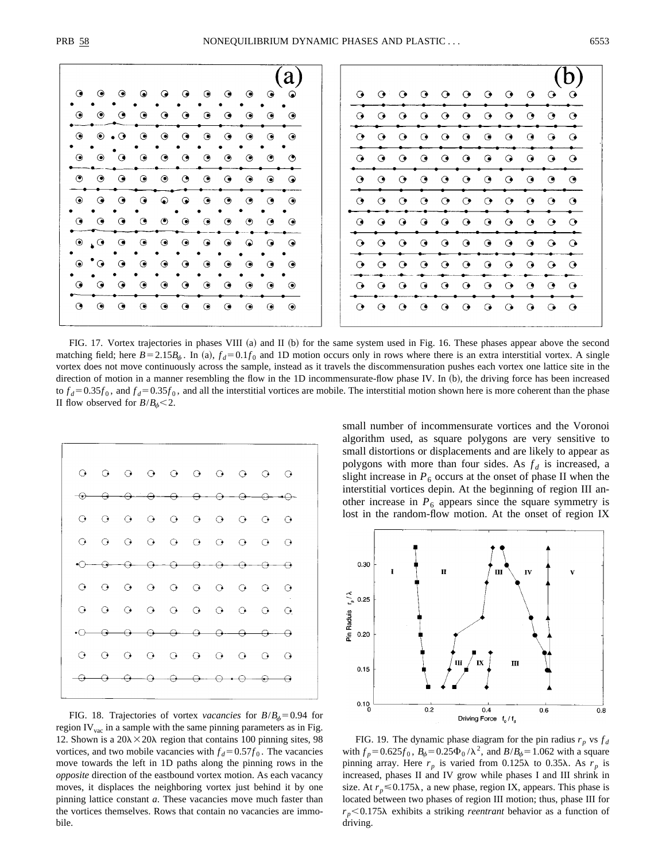

FIG. 17. Vortex trajectories in phases VIII (a) and II (b) for the same system used in Fig. 16. These phases appear above the second matching field; here  $B=2.15B_{\phi}$ . In (a),  $f_d=0.1f_0$  and 1D motion occurs only in rows where there is an extra interstitial vortex. A single vortex does not move continuously across the sample, instead as it travels the discommensuration pushes each vortex one lattice site in the direction of motion in a manner resembling the flow in the 1D incommensurate-flow phase IV. In (b), the driving force has been increased to  $f_d = 0.35f_0$ , and  $f_d = 0.35f_0$ , and all the interstitial vortices are mobile. The interstitial motion shown here is more coherent than the phase II flow observed for  $B/B_{\phi}$ <2.



FIG. 18. Trajectories of vortex *vacancies* for  $B/B_\phi=0.94$  for region  $IV<sub>vac</sub>$  in a sample with the same pinning parameters as in Fig. 12. Shown is a  $20\lambda \times 20\lambda$  region that contains 100 pinning sites, 98 vortices, and two mobile vacancies with  $f_d = 0.57f_0$ . The vacancies move towards the left in 1D paths along the pinning rows in the *opposite* direction of the eastbound vortex motion. As each vacancy moves, it displaces the neighboring vortex just behind it by one pinning lattice constant *a*. These vacancies move much faster than the vortices themselves. Rows that contain no vacancies are immobile.

small number of incommensurate vortices and the Voronoi algorithm used, as square polygons are very sensitive to small distortions or displacements and are likely to appear as polygons with more than four sides. As  $f_d$  is increased, a slight increase in  $P_6$  occurs at the onset of phase II when the interstitial vortices depin. At the beginning of region III another increase in  $P_6$  appears since the square symmetry is lost in the random-flow motion. At the onset of region IX



FIG. 19. The dynamic phase diagram for the pin radius  $r_p$  vs  $f_d$ with  $f_p = 0.625f_0$ ,  $B_\phi = 0.25\Phi_0/\lambda^2$ , and  $B/B_\phi = 1.062$  with a square pinning array. Here  $r_p$  is varied from 0.125 $\lambda$  to 0.35 $\lambda$ . As  $r_p$  is increased, phases II and IV grow while phases I and III shrink in size. At  $r_p \le 0.175\lambda$ , a new phase, region IX, appears. This phase is located between two phases of region III motion; thus, phase III for  $r_p$ <0.175 $\lambda$  exhibits a striking *reentrant* behavior as a function of driving.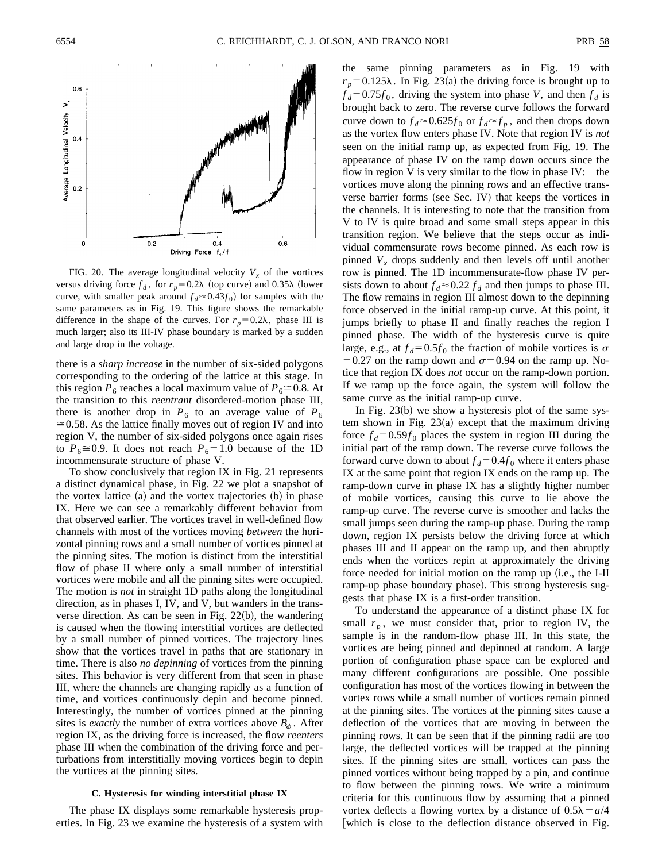

FIG. 20. The average longitudinal velocity  $V_x$  of the vortices versus driving force  $f_d$ , for  $r_p = 0.2\lambda$  (top curve) and 0.35 $\lambda$  (lower curve, with smaller peak around  $f_d \approx 0.43 f_0$  for samples with the same parameters as in Fig. 19. This figure shows the remarkable difference in the shape of the curves. For  $r_p = 0.2\lambda$ , phase III is much larger; also its III-IV phase boundary is marked by a sudden and large drop in the voltage.

there is a *sharp increase* in the number of six-sided polygons corresponding to the ordering of the lattice at this stage. In this region  $P_6$  reaches a local maximum value of  $P_6 \cong 0.8$ . At the transition to this *reentrant* disordered-motion phase III, there is another drop in  $P_6$  to an average value of  $P_6$  $\approx 0.58$ . As the lattice finally moves out of region IV and into region V, the number of six-sided polygons once again rises to  $P_6 \approx 0.9$ . It does not reach  $P_6 = 1.0$  because of the 1D incommensurate structure of phase V.

To show conclusively that region IX in Fig. 21 represents a distinct dynamical phase, in Fig. 22 we plot a snapshot of the vortex lattice  $(a)$  and the vortex trajectories  $(b)$  in phase IX. Here we can see a remarkably different behavior from that observed earlier. The vortices travel in well-defined flow channels with most of the vortices moving *between* the horizontal pinning rows and a small number of vortices pinned at the pinning sites. The motion is distinct from the interstitial flow of phase II where only a small number of interstitial vortices were mobile and all the pinning sites were occupied. The motion is *not* in straight 1D paths along the longitudinal direction, as in phases I, IV, and V, but wanders in the transverse direction. As can be seen in Fig.  $22(b)$ , the wandering is caused when the flowing interstitial vortices are deflected by a small number of pinned vortices. The trajectory lines show that the vortices travel in paths that are stationary in time. There is also *no depinning* of vortices from the pinning sites. This behavior is very different from that seen in phase III, where the channels are changing rapidly as a function of time, and vortices continuously depin and become pinned. Interestingly, the number of vortices pinned at the pinning sites is *exactly* the number of extra vortices above  $B_{\phi}$ . After region IX, as the driving force is increased, the flow *reenters* phase III when the combination of the driving force and perturbations from interstitially moving vortices begin to depin the vortices at the pinning sites.

### **C. Hysteresis for winding interstitial phase IX**

The phase IX displays some remarkable hysteresis properties. In Fig. 23 we examine the hysteresis of a system with the same pinning parameters as in Fig. 19 with  $r_p = 0.125\lambda$ . In Fig. 23(a) the driving force is brought up to  $f_d = 0.75f_0$ , driving the system into phase *V*, and then  $f_d$  is brought back to zero. The reverse curve follows the forward curve down to  $f_d \approx 0.625 f_0$  or  $f_d \approx f_p$ , and then drops down as the vortex flow enters phase IV. Note that region IV is *not* seen on the initial ramp up, as expected from Fig. 19. The appearance of phase IV on the ramp down occurs since the flow in region V is very similar to the flow in phase IV: the vortices move along the pinning rows and an effective transverse barrier forms (see Sec. IV) that keeps the vortices in the channels. It is interesting to note that the transition from V to IV is quite broad and some small steps appear in this transition region. We believe that the steps occur as individual commensurate rows become pinned. As each row is pinned  $V<sub>x</sub>$  drops suddenly and then levels off until another row is pinned. The 1D incommensurate-flow phase IV persists down to about  $f_d \approx 0.22 f_d$  and then jumps to phase III. The flow remains in region III almost down to the depinning force observed in the initial ramp-up curve. At this point, it jumps briefly to phase II and finally reaches the region I pinned phase. The width of the hysteresis curve is quite large, e.g., at  $f_d = 0.5f_0$  the fraction of mobile vortices is  $\sigma$  $=0.27$  on the ramp down and  $\sigma=0.94$  on the ramp up. Notice that region IX does *not* occur on the ramp-down portion. If we ramp up the force again, the system will follow the same curve as the initial ramp-up curve.

In Fig.  $23(b)$  we show a hysteresis plot of the same system shown in Fig.  $23(a)$  except that the maximum driving force  $f_d = 0.59 f_0$  places the system in region III during the initial part of the ramp down. The reverse curve follows the forward curve down to about  $f_d = 0.4 f_0$  where it enters phase IX at the same point that region IX ends on the ramp up. The ramp-down curve in phase IX has a slightly higher number of mobile vortices, causing this curve to lie above the ramp-up curve. The reverse curve is smoother and lacks the small jumps seen during the ramp-up phase. During the ramp down, region IX persists below the driving force at which phases III and II appear on the ramp up, and then abruptly ends when the vortices repin at approximately the driving force needed for initial motion on the ramp up  $(i.e., the I-II$ ramp-up phase boundary phase). This strong hysteresis suggests that phase IX is a first-order transition.

To understand the appearance of a distinct phase IX for small  $r_p$ , we must consider that, prior to region IV, the sample is in the random-flow phase III. In this state, the vortices are being pinned and depinned at random. A large portion of configuration phase space can be explored and many different configurations are possible. One possible configuration has most of the vortices flowing in between the vortex rows while a small number of vortices remain pinned at the pinning sites. The vortices at the pinning sites cause a deflection of the vortices that are moving in between the pinning rows. It can be seen that if the pinning radii are too large, the deflected vortices will be trapped at the pinning sites. If the pinning sites are small, vortices can pass the pinned vortices without being trapped by a pin, and continue to flow between the pinning rows. We write a minimum criteria for this continuous flow by assuming that a pinned vortex deflects a flowing vortex by a distance of  $0.5\lambda = a/4$ which is close to the deflection distance observed in Fig.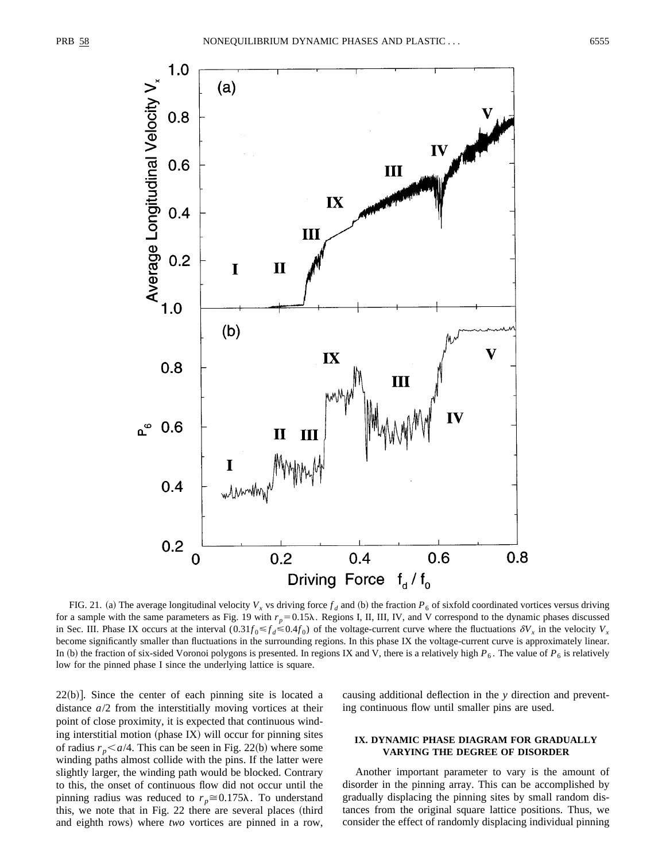

FIG. 21. (a) The average longitudinal velocity  $V_x$  vs driving force  $f_d$  and (b) the fraction  $P_6$  of sixfold coordinated vortices versus driving for a sample with the same parameters as Fig. 19 with  $r_p = 0.15\lambda$ . Regions I, II, III, IV, and V correspond to the dynamic phases discussed in Sec. III. Phase IX occurs at the interval  $(0.31f_0 \leq f_d \leq 0.4f_0)$  of the voltage-current curve where the fluctuations  $\delta V_x$  in the velocity  $V_x$ become significantly smaller than fluctuations in the surrounding regions. In this phase IX the voltage-current curve is approximately linear. In (b) the fraction of six-sided Voronoi polygons is presented. In regions IX and V, there is a relatively high  $P_6$ . The value of  $P_6$  is relatively low for the pinned phase I since the underlying lattice is square.

 $22(b)$ . Since the center of each pinning site is located a distance *a*/2 from the interstitially moving vortices at their point of close proximity, it is expected that continuous winding interstitial motion (phase IX) will occur for pinning sites of radius  $r_p < a/4$ . This can be seen in Fig. 22(b) where some winding paths almost collide with the pins. If the latter were slightly larger, the winding path would be blocked. Contrary to this, the onset of continuous flow did not occur until the pinning radius was reduced to  $r_p \approx 0.175\lambda$ . To understand this, we note that in Fig. 22 there are several places (third and eighth rows) where *two* vortices are pinned in a row, causing additional deflection in the *y* direction and preventing continuous flow until smaller pins are used.

## **IX. DYNAMIC PHASE DIAGRAM FOR GRADUALLY VARYING THE DEGREE OF DISORDER**

Another important parameter to vary is the amount of disorder in the pinning array. This can be accomplished by gradually displacing the pinning sites by small random distances from the original square lattice positions. Thus, we consider the effect of randomly displacing individual pinning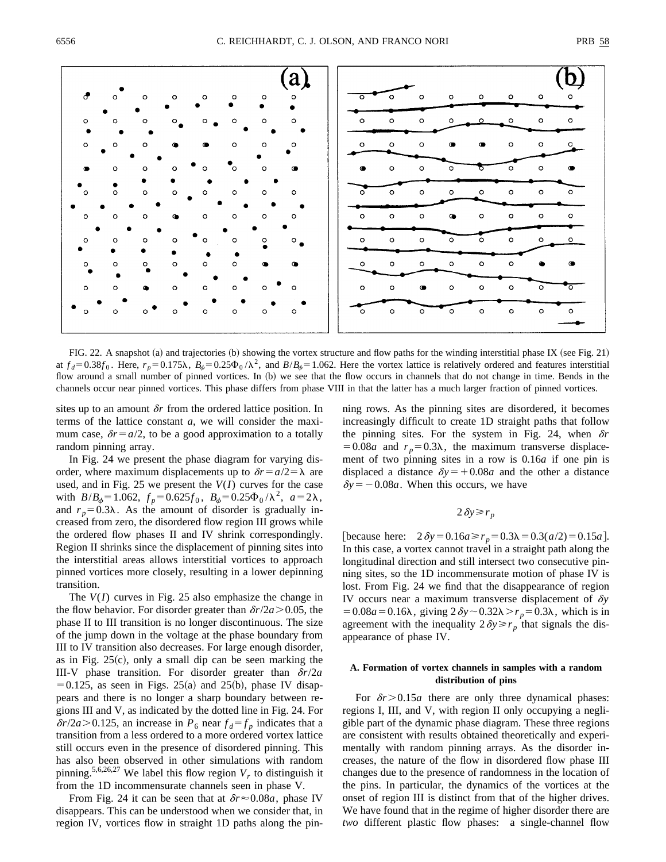

FIG. 22. A snapshot (a) and trajectories (b) showing the vortex structure and flow paths for the winding interstitial phase IX (see Fig. 21) at  $f_d = 0.38f_0$ . Here,  $r_p = 0.175\lambda$ ,  $B_\phi = 0.25\Phi_0/\lambda^2$ , and  $B/B_\phi = 1.062$ . Here the vortex lattice is relatively ordered and features interstitial flow around a small number of pinned vortices. In (b) we see that the flow occurs in channels that do not change in time. Bends in the channels occur near pinned vortices. This phase differs from phase VIII in that the latter has a much larger fraction of pinned vortices.

sites up to an amount  $\delta r$  from the ordered lattice position. In terms of the lattice constant *a*, we will consider the maximum case,  $\delta r = a/2$ , to be a good approximation to a totally random pinning array.

In Fig. 24 we present the phase diagram for varying disorder, where maximum displacements up to  $\delta r = a/2 = \lambda$  are used, and in Fig. 25 we present the  $V(I)$  curves for the case with  $B/B_{\phi}=1.062$ ,  $f_p=0.625f_0$ ,  $B_{\phi}=0.25\Phi_0/\lambda^2$ ,  $a=2\lambda$ , and  $r_p = 0.3\lambda$ . As the amount of disorder is gradually increased from zero, the disordered flow region III grows while the ordered flow phases II and IV shrink correspondingly. Region II shrinks since the displacement of pinning sites into the interstitial areas allows interstitial vortices to approach pinned vortices more closely, resulting in a lower depinning transition.

The *V*(*I*) curves in Fig. 25 also emphasize the change in the flow behavior. For disorder greater than  $\delta r/2a$  > 0.05, the phase II to III transition is no longer discontinuous. The size of the jump down in the voltage at the phase boundary from III to IV transition also decreases. For large enough disorder, as in Fig.  $25(c)$ , only a small dip can be seen marking the III-V phase transition. For disorder greater than  $\delta r/2a$  $=0.125$ , as seen in Figs. 25(a) and 25(b), phase IV disappears and there is no longer a sharp boundary between regions III and V, as indicated by the dotted line in Fig. 24. For  $\delta r/2a$  > 0.125, an increase in  $P_6$  near  $f_d = f_p$  indicates that a transition from a less ordered to a more ordered vortex lattice still occurs even in the presence of disordered pinning. This has also been observed in other simulations with random pinning.<sup>5,6,26,27</sup> We label this flow region  $V_r$  to distinguish it from the 1D incommensurate channels seen in phase V.

From Fig. 24 it can be seen that at  $\delta r \approx 0.08a$ , phase IV disappears. This can be understood when we consider that, in region IV, vortices flow in straight 1D paths along the pinning rows. As the pinning sites are disordered, it becomes increasingly difficult to create 1D straight paths that follow the pinning sites. For the system in Fig. 24, when  $\delta r$  $=0.08a$  and  $r_p=0.3\lambda$ , the maximum transverse displacement of two pinning sites in a row is 0.16*a* if one pin is displaced a distance  $\delta y = 0.08a$  and the other a distance  $\delta y = -0.08a$ . When this occurs, we have

## $2\delta y \geq r_p$

[because here:  $2\delta y = 0.16a \ge r_p = 0.3\lambda = 0.3(a/2) = 0.15a$ ]. In this case, a vortex cannot travel in a straight path along the longitudinal direction and still intersect two consecutive pinning sites, so the 1D incommensurate motion of phase IV is lost. From Fig. 24 we find that the disappearance of region IV occurs near a maximum transverse displacement of  $\delta y$  $=0.08a=0.16\lambda$ , giving  $2\delta y \sim 0.32\lambda > r_p = 0.3\lambda$ , which is in agreement with the inequality  $2 \delta y \ge r_p$  that signals the disappearance of phase IV.

## **A. Formation of vortex channels in samples with a random distribution of pins**

For  $\delta r$  > 0.15*a* there are only three dynamical phases: regions I, III, and V, with region II only occupying a negligible part of the dynamic phase diagram. These three regions are consistent with results obtained theoretically and experimentally with random pinning arrays. As the disorder increases, the nature of the flow in disordered flow phase III changes due to the presence of randomness in the location of the pins. In particular, the dynamics of the vortices at the onset of region III is distinct from that of the higher drives. We have found that in the regime of higher disorder there are *two* different plastic flow phases: a single-channel flow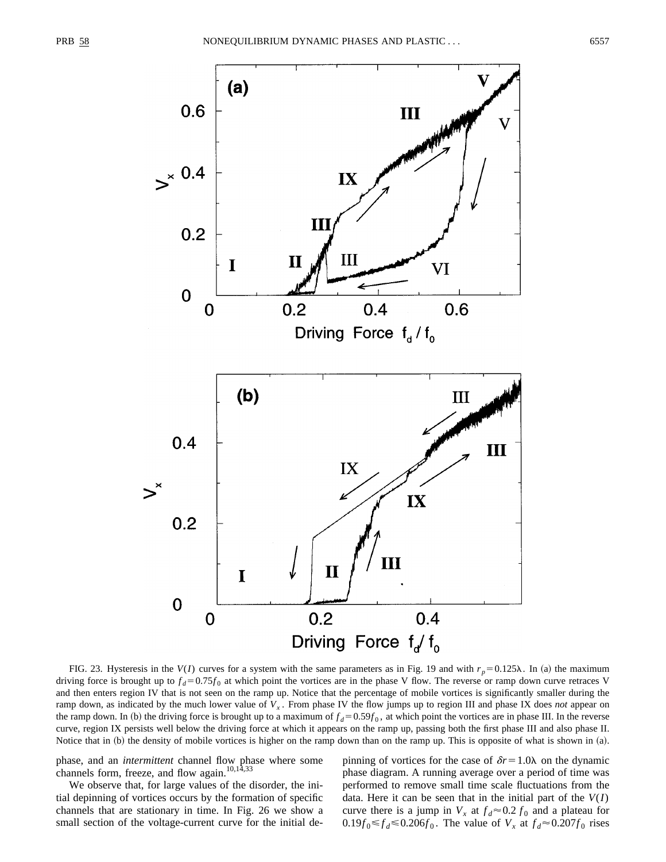

FIG. 23. Hysteresis in the *V*(*I*) curves for a system with the same parameters as in Fig. 19 and with  $r_p = 0.125\lambda$ . In (a) the maximum driving force is brought up to  $f_d = 0.75f_0$  at which point the vortices are in the phase V flow. The reverse or ramp down curve retraces V and then enters region IV that is not seen on the ramp up. Notice that the percentage of mobile vortices is significantly smaller during the ramp down, as indicated by the much lower value of *Vx* . From phase IV the flow jumps up to region III and phase IX does *not* appear on the ramp down. In (b) the driving force is brought up to a maximum of  $f_d = 0.59f_0$ , at which point the vortices are in phase III. In the reverse curve, region IX persists well below the driving force at which it appears on the ramp up, passing both the first phase III and also phase II. Notice that in (b) the density of mobile vortices is higher on the ramp down than on the ramp up. This is opposite of what is shown in (a).

phase, and an *intermittent* channel flow phase where some channels form, freeze, and flow again.<sup>10,14,33</sup>

We observe that, for large values of the disorder, the initial depinning of vortices occurs by the formation of specific channels that are stationary in time. In Fig. 26 we show a small section of the voltage-current curve for the initial depinning of vortices for the case of  $\delta r = 1.0\lambda$  on the dynamic phase diagram. A running average over a period of time was performed to remove small time scale fluctuations from the data. Here it can be seen that in the initial part of the  $V(I)$ curve there is a jump in  $V_x$  at  $f_d \approx 0.2 f_0$  and a plateau for  $0.19f_0 \leq f_d \leq 0.206f_0$ . The value of  $V_x$  at  $f_d \approx 0.207f_0$  rises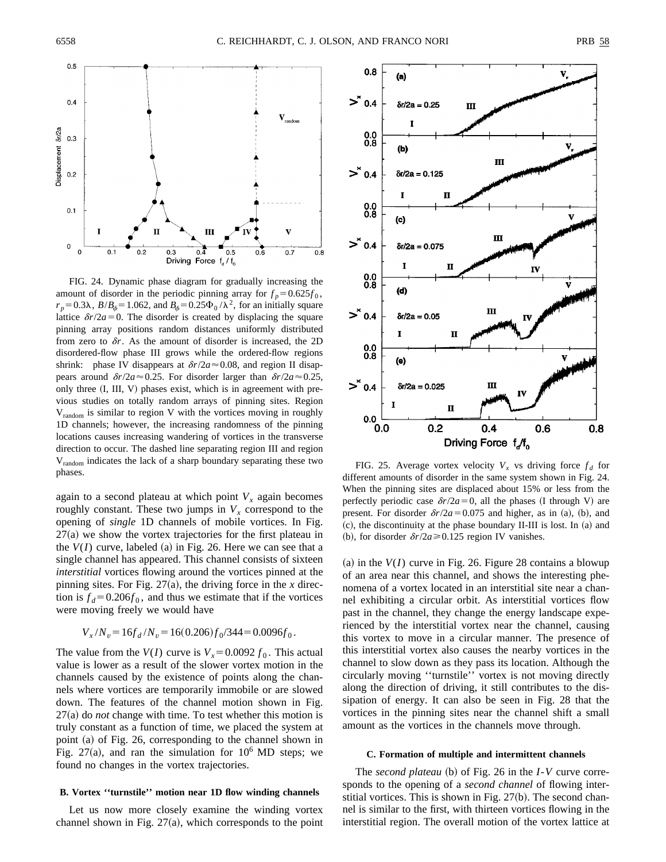

FIG. 24. Dynamic phase diagram for gradually increasing the amount of disorder in the periodic pinning array for  $f_p = 0.625 f_0$ ,  $r_p = 0.3\lambda$ ,  $B/B_\phi = 1.062$ , and  $B_\phi = 0.25\Phi_0/\lambda^2$ , for an initially square lattice  $\delta r/2a=0$ . The disorder is created by displacing the square pinning array positions random distances uniformly distributed from zero to  $\delta r$ . As the amount of disorder is increased, the 2D disordered-flow phase III grows while the ordered-flow regions shrink: phase IV disappears at  $\delta r/2a \approx 0.08$ , and region II disappears around  $\delta r/2a \approx 0.25$ . For disorder larger than  $\delta r/2a \approx 0.25$ , only three (I, III, V) phases exist, which is in agreement with previous studies on totally random arrays of pinning sites. Region  $V_{random}$  is similar to region V with the vortices moving in roughly 1D channels; however, the increasing randomness of the pinning locations causes increasing wandering of vortices in the transverse direction to occur. The dashed line separating region III and region V<sub>random</sub> indicates the lack of a sharp boundary separating these two phases.

again to a second plateau at which point  $V_x$  again becomes roughly constant. These two jumps in  $V<sub>x</sub>$  correspond to the opening of *single* 1D channels of mobile vortices. In Fig.  $27(a)$  we show the vortex trajectories for the first plateau in the  $V(I)$  curve, labeled (a) in Fig. 26. Here we can see that a single channel has appeared. This channel consists of sixteen *interstitial* vortices flowing around the vortices pinned at the pinning sites. For Fig.  $27(a)$ , the driving force in the *x* direction is  $f_d = 0.206 f_0$ , and thus we estimate that if the vortices were moving freely we would have

$$
V_x/N_v = 16f_d/N_v = 16(0.206)f_0/344 = 0.0096f_0.
$$

The value from the *V*(*I*) curve is  $V_x = 0.0092 f_0$ . This actual value is lower as a result of the slower vortex motion in the channels caused by the existence of points along the channels where vortices are temporarily immobile or are slowed down. The features of the channel motion shown in Fig.  $27(a)$  do *not* change with time. To test whether this motion is truly constant as a function of time, we placed the system at point  $(a)$  of Fig. 26, corresponding to the channel shown in Fig. 27(a), and ran the simulation for  $10^6$  MD steps; we found no changes in the vortex trajectories.

#### **B. Vortex ''turnstile'' motion near 1D flow winding channels**

Let us now more closely examine the winding vortex channel shown in Fig.  $27(a)$ , which corresponds to the point



FIG. 25. Average vortex velocity  $V_x$  vs driving force  $f_d$  for different amounts of disorder in the same system shown in Fig. 24. When the pinning sites are displaced about 15% or less from the perfectly periodic case  $\delta r/2a=0$ , all the phases (I through V) are present. For disorder  $\delta r/2a = 0.075$  and higher, as in (a), (b), and  $(c)$ , the discontinuity at the phase boundary II-III is lost. In  $(a)$  and (b), for disorder  $\delta r/2a \ge 0.125$  region IV vanishes.

(a) in the  $V(I)$  curve in Fig. 26. Figure 28 contains a blowup of an area near this channel, and shows the interesting phenomena of a vortex located in an interstitial site near a channel exhibiting a circular orbit. As interstitial vortices flow past in the channel, they change the energy landscape experienced by the interstitial vortex near the channel, causing this vortex to move in a circular manner. The presence of this interstitial vortex also causes the nearby vortices in the channel to slow down as they pass its location. Although the circularly moving ''turnstile'' vortex is not moving directly along the direction of driving, it still contributes to the dissipation of energy. It can also be seen in Fig. 28 that the vortices in the pinning sites near the channel shift a small amount as the vortices in the channels move through.

#### **C. Formation of multiple and intermittent channels**

The *second plateau* (b) of Fig. 26 in the *I*-*V* curve corresponds to the opening of a *second channel* of flowing interstitial vortices. This is shown in Fig.  $27(b)$ . The second channel is similar to the first, with thirteen vortices flowing in the interstitial region. The overall motion of the vortex lattice at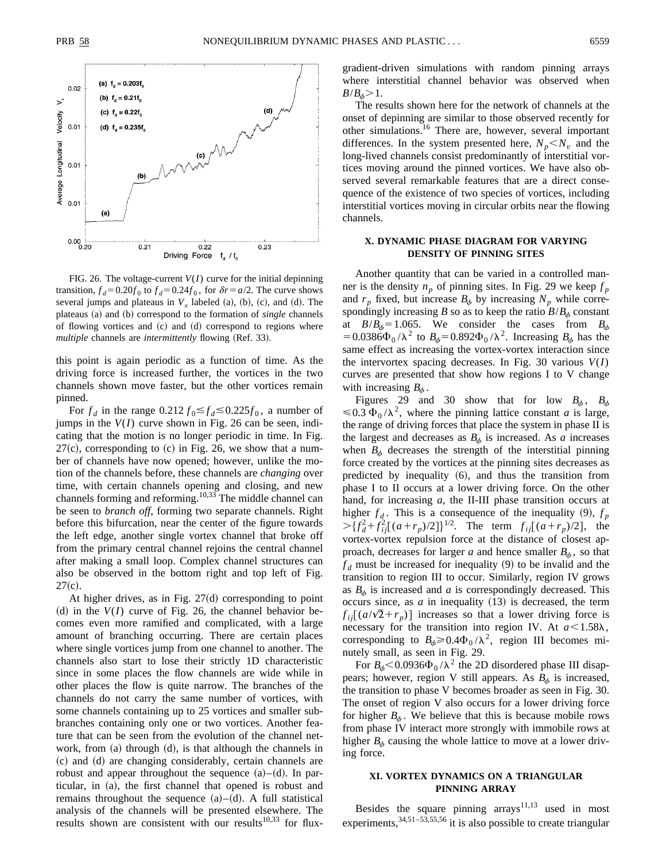

FIG. 26. The voltage-current  $V(I)$  curve for the initial depinning transition,  $f_d = 0.20f_0$  to  $f_d = 0.24f_0$ , for  $\delta r = a/2$ . The curve shows several jumps and plateaus in  $V_x$  labeled  $(a)$ ,  $(b)$ ,  $(c)$ , and  $(d)$ . The plateaus (a) and (b) correspond to the formation of *single* channels of flowing vortices and  $(c)$  and  $(d)$  correspond to regions where *multiple* channels are *intermittently* flowing (Ref. 33).

this point is again periodic as a function of time. As the driving force is increased further, the vortices in the two channels shown move faster, but the other vortices remain pinned.

For  $f_d$  in the range  $0.212 f_0 \leq f_d \leq 0.225 f_0$ , a number of jumps in the  $V(I)$  curve shown in Fig. 26 can be seen, indicating that the motion is no longer periodic in time. In Fig.  $27(c)$ , corresponding to  $(c)$  in Fig. 26, we show that a number of channels have now opened; however, unlike the motion of the channels before, these channels are *changing* over time, with certain channels opening and closing, and new channels forming and reforming.<sup>10,33</sup> The middle channel can be seen to *branch off*, forming two separate channels. Right before this bifurcation, near the center of the figure towards the left edge, another single vortex channel that broke off from the primary central channel rejoins the central channel after making a small loop. Complex channel structures can also be observed in the bottom right and top left of Fig.  $27(c).$ 

At higher drives, as in Fig.  $27(d)$  corresponding to point (d) in the  $V(I)$  curve of Fig. 26, the channel behavior becomes even more ramified and complicated, with a large amount of branching occurring. There are certain places where single vortices jump from one channel to another. The channels also start to lose their strictly 1D characteristic since in some places the flow channels are wide while in other places the flow is quite narrow. The branches of the channels do not carry the same number of vortices, with some channels containing up to 25 vortices and smaller subbranches containing only one or two vortices. Another feature that can be seen from the evolution of the channel network, from  $(a)$  through  $(d)$ , is that although the channels in (c) and (d) are changing considerably, certain channels are robust and appear throughout the sequence  $(a)$ – $(d)$ . In particular, in (a), the first channel that opened is robust and remains throughout the sequence  $(a)$ – $(d)$ . A full statistical analysis of the channels will be presented elsewhere. The results shown are consistent with our results<sup>10,33</sup> for fluxgradient-driven simulations with random pinning arrays where interstitial channel behavior was observed when  $B/B_{d} > 1$ .

The results shown here for the network of channels at the onset of depinning are similar to those observed recently for other simulations.<sup>16</sup> There are, however, several important differences. In the system presented here,  $N_p < N_v$  and the long-lived channels consist predominantly of interstitial vortices moving around the pinned vortices. We have also observed several remarkable features that are a direct consequence of the existence of two species of vortices, including interstitial vortices moving in circular orbits near the flowing channels.

## **X. DYNAMIC PHASE DIAGRAM FOR VARYING DENSITY OF PINNING SITES**

Another quantity that can be varied in a controlled manner is the density  $n_p$  of pinning sites. In Fig. 29 we keep  $f_p$ and  $r_p$  fixed, but increase  $B_\phi$  by increasing  $N_p$  while correspondingly increasing *B* so as to keep the ratio  $B/B<sub>6</sub>$  constant at  $B/B<sub>6</sub>=1.065$ . We consider the cases from  $B<sub>6</sub>$ =  $0.0386\Phi_0/\lambda^2$  to  $B_\phi = 0.892\Phi_0/\lambda^2$ . Increasing  $B_\phi$  has the same effect as increasing the vortex-vortex interaction since the intervortex spacing decreases. In Fig. 30 various *V*(*I*) curves are presented that show how regions I to V change with increasing  $B_{\phi}$ .

Figures 29 and 30 show that for low  $B_{\phi}$ ,  $B_{\phi}$  $\leq 0.3 \Phi_0 / \lambda^2$ , where the pinning lattice constant *a* is large, the range of driving forces that place the system in phase II is the largest and decreases as  $B_{\phi}$  is increased. As *a* increases when  $B_{\phi}$  decreases the strength of the interstitial pinning force created by the vortices at the pinning sites decreases as predicted by inequality  $(6)$ , and thus the transition from phase I to II occurs at a lower driving force. On the other hand, for increasing *a*, the II-III phase transition occurs at higher  $f_d$ . This is a consequence of the inequality (9),  $f_p$  $>\left\{f_d^2 + f_{ij}^2[(a+r_p)/2]\right\}^{1/2}$ . The term  $f_{ij}[(a+r_p)/2]$ , the vortex-vortex repulsion force at the distance of closest approach, decreases for larger *a* and hence smaller  $B_{\phi}$ , so that  $f_d$  must be increased for inequality  $(9)$  to be invalid and the transition to region III to occur. Similarly, region IV grows as  $B_{\phi}$  is increased and *a* is correspondingly decreased. This occurs since, as  $a$  in inequality  $(13)$  is decreased, the term  $f_{ij}[(a/\sqrt{2}+r_p)]$  increases so that a lower driving force is necessary for the transition into region IV. At  $a$ <1.58 $\lambda$ , corresponding to  $B_{\phi} \ge 0.4\Phi_0/\lambda^2$ , region III becomes minutely small, as seen in Fig. 29.

For  $B_{\phi}$  < 0.0936 $\Phi_0 / \lambda^2$  the 2D disordered phase III disappears; however, region V still appears. As  $B_{\phi}$  is increased, the transition to phase V becomes broader as seen in Fig. 30. The onset of region V also occurs for a lower driving force for higher  $B_{\phi}$ . We believe that this is because mobile rows from phase IV interact more strongly with immobile rows at higher  $B_{\phi}$  causing the whole lattice to move at a lower driving force.

## **XI. VORTEX DYNAMICS ON A TRIANGULAR PINNING ARRAY**

Besides the square pinning  $\ar{3}^{11,13}$  used in most experiments,  $34,51-53,55,56$  it is also possible to create triangular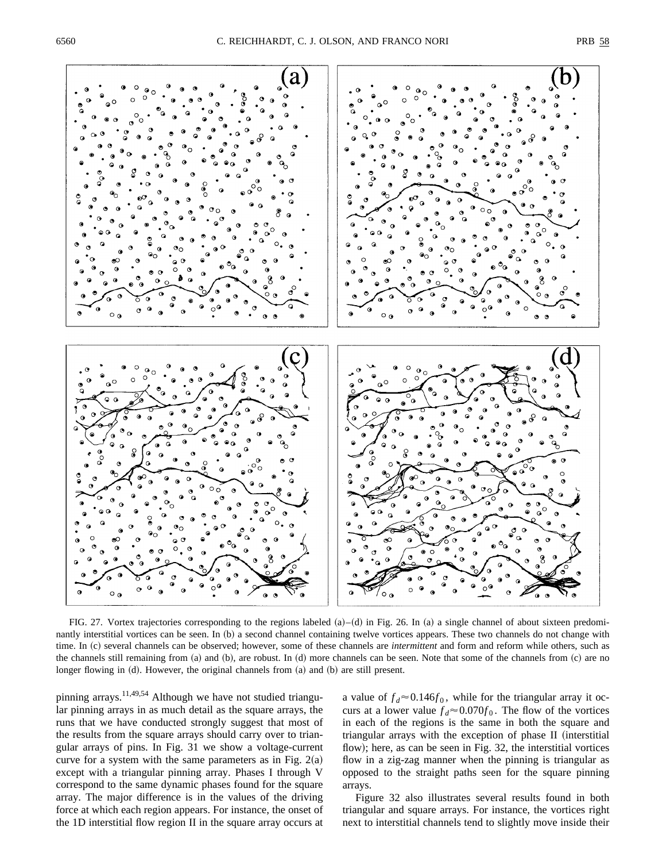

FIG. 27. Vortex trajectories corresponding to the regions labeled  $(a)$ – $(d)$  in Fig. 26. In  $(a)$  a single channel of about sixteen predominantly interstitial vortices can be seen. In (b) a second channel containing twelve vortices appears. These two channels do not change with time. In (c) several channels can be observed; however, some of these channels are *intermittent* and form and reform while others, such as the channels still remaining from (a) and (b), are robust. In (d) more channels can be seen. Note that some of the channels from (c) are no longer flowing in  $(d)$ . However, the original channels from  $(a)$  and  $(b)$  are still present.

pinning arrays.<sup>11,49,54</sup> Although we have not studied triangular pinning arrays in as much detail as the square arrays, the runs that we have conducted strongly suggest that most of the results from the square arrays should carry over to triangular arrays of pins. In Fig. 31 we show a voltage-current curve for a system with the same parameters as in Fig.  $2(a)$ except with a triangular pinning array. Phases I through V correspond to the same dynamic phases found for the square array. The major difference is in the values of the driving force at which each region appears. For instance, the onset of the 1D interstitial flow region II in the square array occurs at

a value of  $f_d \approx 0.146 f_0$ , while for the triangular array it occurs at a lower value  $f_d \approx 0.070 f_0$ . The flow of the vortices in each of the regions is the same in both the square and triangular arrays with the exception of phase II (interstitial flow); here, as can be seen in Fig. 32, the interstitial vortices flow in a zig-zag manner when the pinning is triangular as opposed to the straight paths seen for the square pinning arrays.

Figure 32 also illustrates several results found in both triangular and square arrays. For instance, the vortices right next to interstitial channels tend to slightly move inside their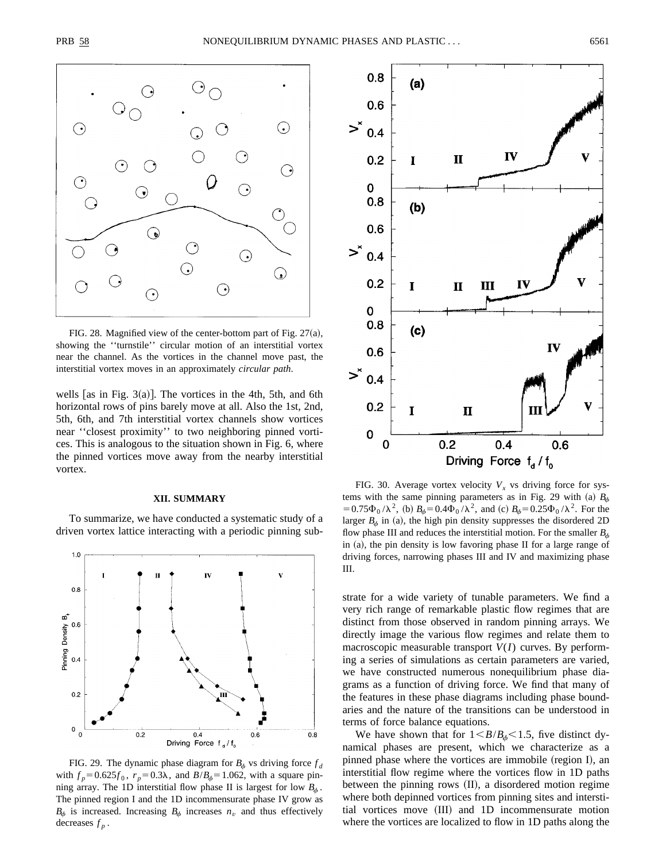

FIG. 28. Magnified view of the center-bottom part of Fig.  $27(a)$ , showing the ''turnstile'' circular motion of an interstitial vortex near the channel. As the vortices in the channel move past, the interstitial vortex moves in an approximately *circular path*.

wells [as in Fig.  $3(a)$ ]. The vortices in the 4th, 5th, and 6th horizontal rows of pins barely move at all. Also the 1st, 2nd, 5th, 6th, and 7th interstitial vortex channels show vortices near ''closest proximity'' to two neighboring pinned vortices. This is analogous to the situation shown in Fig. 6, where the pinned vortices move away from the nearby interstitial vortex.

#### **XII. SUMMARY**

To summarize, we have conducted a systematic study of a driven vortex lattice interacting with a periodic pinning sub-



FIG. 29. The dynamic phase diagram for  $B_{\phi}$  vs driving force  $f_d$ with  $f_p = 0.625f_0$ ,  $r_p = 0.3\lambda$ , and  $B/B_\phi = 1.062$ , with a square pinning array. The 1D interstitial flow phase II is largest for low  $B_{\phi}$ . The pinned region I and the 1D incommensurate phase IV grow as  $B_{\phi}$  is increased. Increasing  $B_{\phi}$  increases  $n_v$  and thus effectively decreases  $f_p$ .



FIG. 30. Average vortex velocity  $V<sub>x</sub>$  vs driving force for systems with the same pinning parameters as in Fig. 29 with (a)  $B_{\phi}$  $=0.75\Phi_0/\lambda^2$ , (b)  $B_\phi=0.4\Phi_0/\lambda^2$ , and (c)  $B_\phi=0.25\Phi_0/\lambda^2$ . For the larger  $B_{\phi}$  in (a), the high pin density suppresses the disordered 2D flow phase III and reduces the interstitial motion. For the smaller  $B_{\phi}$ in  $(a)$ , the pin density is low favoring phase II for a large range of driving forces, narrowing phases III and IV and maximizing phase III.

strate for a wide variety of tunable parameters. We find a very rich range of remarkable plastic flow regimes that are distinct from those observed in random pinning arrays. We directly image the various flow regimes and relate them to macroscopic measurable transport  $V(I)$  curves. By performing a series of simulations as certain parameters are varied, we have constructed numerous nonequilibrium phase diagrams as a function of driving force. We find that many of the features in these phase diagrams including phase boundaries and the nature of the transitions can be understood in terms of force balance equations.

We have shown that for  $1 \leq B/B_{\phi} \leq 1.5$ , five distinct dynamical phases are present, which we characterize as a pinned phase where the vortices are immobile (region I), an interstitial flow regime where the vortices flow in 1D paths between the pinning rows  $(II)$ , a disordered motion regime where both depinned vortices from pinning sites and interstitial vortices move (III) and 1D incommensurate motion where the vortices are localized to flow in 1D paths along the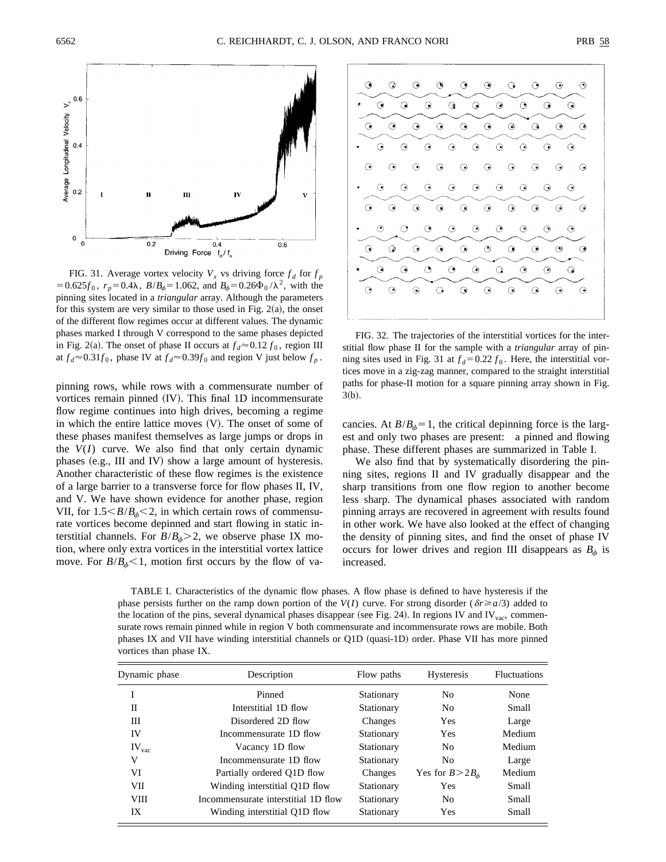

FIG. 31. Average vortex velocity  $V_x$  vs driving force  $f_d$  for  $f_p$  $= 0.625f_0$ ,  $r_p = 0.4\lambda$ ,  $B/B_\phi = 1.062$ , and  $B_\phi = 0.26\Phi_0/\lambda^2$ , with the pinning sites located in a *triangular* array. Although the parameters for this system are very similar to those used in Fig.  $2(a)$ , the onset of the different flow regimes occur at different values. The dynamic phases marked I through V correspond to the same phases depicted in Fig. 2(a). The onset of phase II occurs at  $f_d \approx 0.12 f_0$ , region III at  $f_d \approx 0.31 f_0$ , phase IV at  $f_d \approx 0.39 f_0$  and region V just below  $f_p$ .

pinning rows, while rows with a commensurate number of vortices remain pinned  $(IV)$ . This final 1D incommensurate flow regime continues into high drives, becoming a regime in which the entire lattice moves  $(V)$ . The onset of some of these phases manifest themselves as large jumps or drops in the  $V(I)$  curve. We also find that only certain dynamic phases  $(e.g., III and IV)$  show a large amount of hysteresis. Another characteristic of these flow regimes is the existence of a large barrier to a transverse force for flow phases II, IV, and V. We have shown evidence for another phase, region VII, for  $1.5 \leq B/B_\phi \leq 2$ , in which certain rows of commensurate vortices become depinned and start flowing in static interstitial channels. For  $B/B_{\phi} > 2$ , we observe phase IX motion, where only extra vortices in the interstitial vortex lattice move. For  $B/B_{\phi}$ <1, motion first occurs by the flow of va-



FIG. 32. The trajectories of the interstitial vortices for the interstitial flow phase II for the sample with a *triangular* array of pinning sites used in Fig. 31 at  $f_d = 0.22 f_0$ . Here, the interstitial vortices move in a zig-zag manner, compared to the straight interstitial paths for phase-II motion for a square pinning array shown in Fig.  $3(b)$ .

cancies. At  $B/B_{\phi}=1$ , the critical depinning force is the largest and only two phases are present: a pinned and flowing phase. These different phases are summarized in Table I.

We also find that by systematically disordering the pinning sites, regions II and IV gradually disappear and the sharp transitions from one flow region to another become less sharp. The dynamical phases associated with random pinning arrays are recovered in agreement with results found in other work. We have also looked at the effect of changing the density of pinning sites, and find the onset of phase IV occurs for lower drives and region III disappears as  $B_{\phi}$  is increased.

TABLE I. Characteristics of the dynamic flow phases. A flow phase is defined to have hysteresis if the phase persists further on the ramp down portion of the *V(I)* curve. For strong disorder ( $\delta r \ge a/3$ ) added to the location of the pins, several dynamical phases disappear (see Fig. 24). In regions IV and IV $_{\text{vac}}$ , commensurate rows remain pinned while in region V both commensurate and incommensurate rows are mobile. Both phases IX and VII have winding interstitial channels or Q1D (quasi-1D) order. Phase VII has more pinned vortices than phase IX.

| Dynamic phase     | Description                         | Flow paths | <b>Hysteresis</b>       | <b>Fluctuations</b> |
|-------------------|-------------------------------------|------------|-------------------------|---------------------|
|                   | Pinned                              | Stationary | N <sub>0</sub>          | None                |
| H                 | Interstitial 1D flow                | Stationary | N <sub>0</sub>          | Small               |
| Ш                 | Disordered 2D flow                  | Changes    | Yes                     | Large               |
| IV                | Incommensurate 1D flow              | Stationary | Yes                     | Medium              |
| IV <sub>vac</sub> | Vacancy 1D flow                     | Stationary | N <sub>0</sub>          | Medium              |
| V                 | Incommensurate 1D flow              | Stationary | N <sub>0</sub>          | Large               |
| VI                | Partially ordered Q1D flow          | Changes    | Yes for $B > 2B_{\phi}$ | Medium              |
| VII               | Winding interstitial Q1D flow       | Stationary | Yes                     | Small               |
| <b>VIII</b>       | Incommensurate interstitial 1D flow | Stationary | N <sub>0</sub>          | Small               |
| IX                | Winding interstitial O1D flow       | Stationary | <b>Yes</b>              | Small               |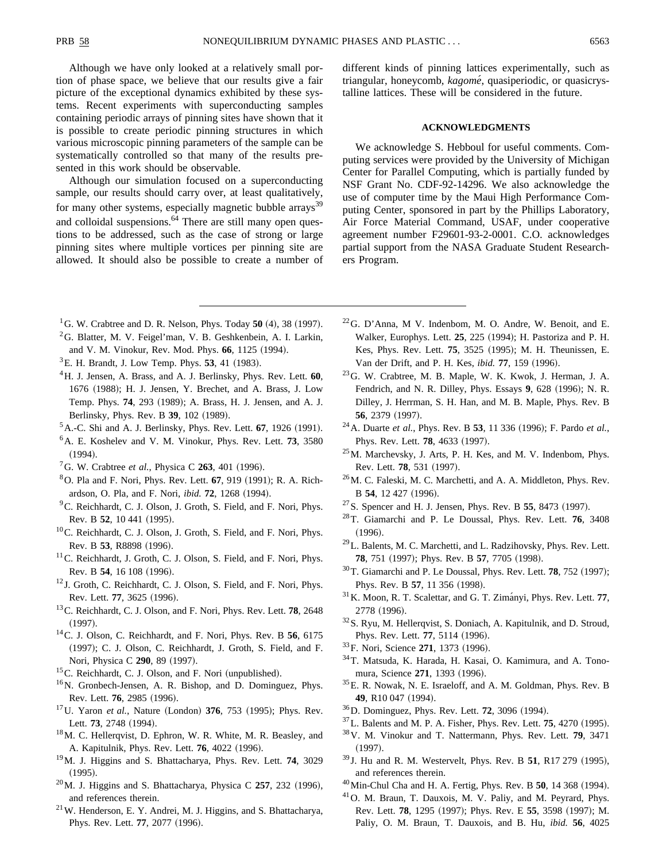Although we have only looked at a relatively small portion of phase space, we believe that our results give a fair picture of the exceptional dynamics exhibited by these systems. Recent experiments with superconducting samples containing periodic arrays of pinning sites have shown that it is possible to create periodic pinning structures in which various microscopic pinning parameters of the sample can be systematically controlled so that many of the results presented in this work should be observable.

Although our simulation focused on a superconducting sample, our results should carry over, at least qualitatively, for many other systems, especially magnetic bubble arrays<sup>39</sup> and colloidal suspensions.<sup>64</sup> There are still many open questions to be addressed, such as the case of strong or large pinning sites where multiple vortices per pinning site are allowed. It should also be possible to create a number of different kinds of pinning lattices experimentally, such as triangular, honeycomb, *kagome´*, quasiperiodic, or quasicrystalline lattices. These will be considered in the future.

## **ACKNOWLEDGMENTS**

We acknowledge S. Hebboul for useful comments. Computing services were provided by the University of Michigan Center for Parallel Computing, which is partially funded by NSF Grant No. CDF-92-14296. We also acknowledge the use of computer time by the Maui High Performance Computing Center, sponsored in part by the Phillips Laboratory, Air Force Material Command, USAF, under cooperative agreement number F29601-93-2-0001. C.O. acknowledges partial support from the NASA Graduate Student Researchers Program.

- <sup>1</sup>G. W. Crabtree and D. R. Nelson, Phys. Today  $50$  (4), 38 (1997).
- ${}^{2}$ G. Blatter, M. V. Feigel'man, V. B. Geshkenbein, A. I. Larkin,
- and V. M. Vinokur, Rev. Mod. Phys. 66, 1125 (1994).
- $3E.$  H. Brandt, J. Low Temp. Phys. **53**, 41 (1983).
- 4H. J. Jensen, A. Brass, and A. J. Berlinsky, Phys. Rev. Lett. **60**, 1676 (1988); H. J. Jensen, Y. Brechet, and A. Brass, J. Low Temp. Phys. **74**, 293 (1989); A. Brass, H. J. Jensen, and A. J. Berlinsky, Phys. Rev. B 39, 102 (1989).
- ${}^5$ A.-C. Shi and A. J. Berlinsky, Phys. Rev. Lett. **67**, 1926 (1991).
- 6A. E. Koshelev and V. M. Vinokur, Phys. Rev. Lett. **73**, 3580  $(1994).$
- <sup>7</sup>G. W. Crabtree *et al.*, Physica C **263**, 401 (1996).
- <sup>8</sup>O. Pla and F. Nori, Phys. Rev. Lett. **67**, 919 (1991); R. A. Richardson, O. Pla, and F. Nori, *ibid.* **72**, 1268 (1994).
- <sup>9</sup>C. Reichhardt, C. J. Olson, J. Groth, S. Field, and F. Nori, Phys. Rev. B 52, 10 441 (1995).
- 10C. Reichhardt, C. J. Olson, J. Groth, S. Field, and F. Nori, Phys. Rev. B 53, R8898 (1996).
- $11$ C. Reichhardt, J. Groth, C. J. Olson, S. Field, and F. Nori, Phys. Rev. B 54, 16 108 (1996).
- <sup>12</sup> J. Groth, C. Reichhardt, C. J. Olson, S. Field, and F. Nori, Phys. Rev. Lett. **77**, 3625 (1996).
- 13C. Reichhardt, C. J. Olson, and F. Nori, Phys. Rev. Lett. **78**, 2648  $(1997).$
- 14C. J. Olson, C. Reichhardt, and F. Nori, Phys. Rev. B **56**, 6175 (1997); C. J. Olson, C. Reichhardt, J. Groth, S. Field, and F. Nori, Physica C 290, 89 (1997).
- $<sup>15</sup>C$ . Reichhardt, C. J. Olson, and F. Nori (unpublished).</sup>
- <sup>16</sup>N. Gronbech-Jensen, A. R. Bishop, and D. Dominguez, Phys. Rev. Lett. **76**, 2985 (1996).
- <sup>17</sup>U. Yaron *et al.*, Nature (London) **376**, 753 (1995); Phys. Rev. Lett. 73, 2748 (1994).
- $18$ M. C. Hellerqvist, D. Ephron, W. R. White, M. R. Beasley, and A. Kapitulnik, Phys. Rev. Lett. **76**, 4022 (1996).
- 19M. J. Higgins and S. Bhattacharya, Phys. Rev. Lett. **74**, 3029  $(1995).$
- $^{20}$ M. J. Higgins and S. Bhattacharya, Physica C  $257$ ,  $232$  (1996), and references therein.
- 21W. Henderson, E. Y. Andrei, M. J. Higgins, and S. Bhattacharya, Phys. Rev. Lett. **77**, 2077 (1996).
- $22$ G. D'Anna, M V. Indenbom, M. O. Andre, W. Benoit, and E. Walker, Europhys. Lett. **25**, 225 (1994); H. Pastoriza and P. H. Kes, Phys. Rev. Lett. **75**, 3525 (1995); M. H. Theunissen, E. Van der Drift, and P. H. Kes, *ibid.* 77, 159 (1996).
- 23G. W. Crabtree, M. B. Maple, W. K. Kwok, J. Herman, J. A. Fendrich, and N. R. Dilley, Phys. Essays 9, 628 (1996); N. R. Dilley, J. Herrman, S. H. Han, and M. B. Maple, Phys. Rev. B **56**, 2379 (1997).
- <sup>24</sup> A. Duarte *et al.*, Phys. Rev. B **53**, 11 336 (1996); F. Pardo *et al.*, Phys. Rev. Lett. **78**, 4633 (1997).
- $^{25}$ M. Marchevsky, J. Arts, P. H. Kes, and M. V. Indenbom, Phys. Rev. Lett. **78**, 531 (1997).
- $^{26}$ M. C. Faleski, M. C. Marchetti, and A. A. Middleton, Phys. Rev. **B** 54, 12 427 (1996).
- $^{27}$ S. Spencer and H. J. Jensen, Phys. Rev. B 55, 8473 (1997).
- 28T. Giamarchi and P. Le Doussal, Phys. Rev. Lett. **76**, 3408  $(1996).$
- 29L. Balents, M. C. Marchetti, and L. Radzihovsky, Phys. Rev. Lett. **78**, 751 (1997); Phys. Rev. B **57**, 7705 (1998).
- $30$ T. Giamarchi and P. Le Doussal, Phys. Rev. Lett. **78**, 752 (1997); Phys. Rev. B 57, 11 356 (1998).
- 31K. Moon, R. T. Scalettar, and G. T. Zima´nyi, Phys. Rev. Lett. **77**, 2778 (1996).
- 32S. Ryu, M. Hellerqvist, S. Doniach, A. Kapitulnik, and D. Stroud, Phys. Rev. Lett. **77**, 5114 (1996).
- <sup>33</sup>F. Nori, Science **271**, 1373 (1996).
- 34T. Matsuda, K. Harada, H. Kasai, O. Kamimura, and A. Tonomura, Science 271, 1393 (1996).
- 35E. R. Nowak, N. E. Israeloff, and A. M. Goldman, Phys. Rev. B 49, R<sub>10</sub> 047 (1994).
- <sup>36</sup>D. Dominguez, Phys. Rev. Lett. **72**, 3096 (1994).
- $37$  L. Balents and M. P. A. Fisher, Phys. Rev. Lett.  $75$ ,  $4270$  (1995).
- 38V. M. Vinokur and T. Nattermann, Phys. Rev. Lett. **79**, 3471  $(1997).$
- <sup>39</sup> J. Hu and R. M. Westervelt, Phys. Rev. B 51, R17 279 (1995), and references therein.
- <sup>40</sup> Min-Chul Cha and H. A. Fertig, Phys. Rev. B **50**, 14 368 (1994).
- 41O. M. Braun, T. Dauxois, M. V. Paliy, and M. Peyrard, Phys. Rev. Lett. **78**, 1295 (1997); Phys. Rev. E **55**, 3598 (1997); M. Paliy, O. M. Braun, T. Dauxois, and B. Hu, *ibid.* **56**, 4025